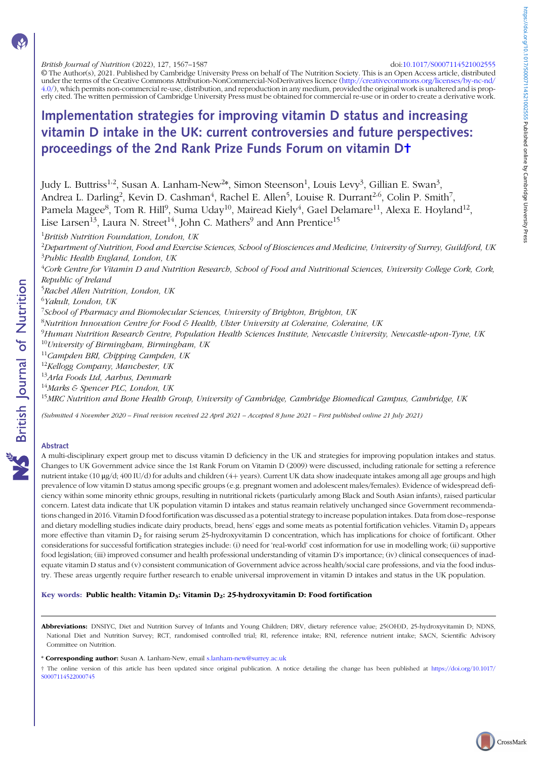#### British Journal of Nutrition (2022), 127, 1567–1587 doi:[10.1017/S0007114521002555](https://doi.org/10.1017/S0007114521002555)

© The Author(s), 2021. Published by Cambridge University Press on behalf of The Nutrition Society. This is an Open Access article, distributed under the terms of the Creative Commons Attribution-NonCommercial-NoDerivatives licence [\(http://creativecommons.org/licenses/by-nc-nd/](http://creativecommons.org/licenses/by-nc-nd/4.0/) [4.0/\)](http://creativecommons.org/licenses/by-nc-nd/4.0/), which permits non-commercial re-use, distribution, and reproduction in any medium, provided the original work is unaltered and is properly cited. The written permission of Cambridge University Press must be obtained for commercial re-use or in order to create a derivative work.

# Implementation strategies for improving vitamin D status and increasing vitamin D intake in the UK: current controversies and future perspectives: proceedings of the 2nd Rank Prize Funds Forum on vitamin D†

Judy L. Buttriss<sup>1,2</sup>, Susan A. Lanham-New<sup>2</sup>\*, Simon Steenson<sup>1</sup>, Louis Levy<sup>3</sup>, Gillian E. Swan<sup>3</sup>, Andrea L. Darling<sup>2</sup>, Kevin D. Cashman<sup>4</sup>, Rachel E. Allen<sup>5</sup>, Louise R. Durrant<sup>2,6</sup>, Colin P. Smith<sup>7</sup>, Pamela Magee $^8$ , Tom R. Hill $^9$ , Suma Uday $^{10}$ , Mairead Kiely $^4$ , Gael Delamare $^{11}$ , Alexa E. Hoyland $^{12}$ , Lise Larsen<sup>13</sup>, Laura N. Street<sup>14</sup>, John C. Mathers<sup>9</sup> and Ann Prentice<sup>15</sup>

<sup>1</sup>British Nutrition Foundation, London, UK

<sup>2</sup>Department of Nutrition, Food and Exercise Sciences, School of Biosciences and Medicine, University of Surrey, Guildford, UK <sup>3</sup>Public Health England, London, UK

4 Cork Centre for Vitamin D and Nutrition Research, School of Food and Nutritional Sciences, University College Cork, Cork, Republic of Ireland

<sup>5</sup>Rachel Allen Nutrition, London, UK

<sup>6</sup>Yakult, London, UK

<sup>7</sup>School of Pharmacy and Biomolecular Sciences, University of Brighton, Brighton, UK

 ${}^{8}$ Nutrition Innovation Centre for Food & Health, Ulster University at Coleraine, Coleraine, UK

<sup>9</sup>Human Nutrition Research Centre, Population Health Sciences Institute, Newcastle University, Newcastle-upon-Tyne, UK  $10$ University of Birmingbam, Birmingbam, UK

 $11$ Campden BRI, Chipping Campden, UK

 $12$ Kellogg Company, Manchester, UK

 $13$ Arla Foods Ltd, Aarbus, Denmark

 $14$ Marks & Spencer PLC, London, UK

<sup>15</sup>MRC Nutrition and Bone Health Group, University of Cambridge, Cambridge Biomedical Campus, Cambridge, UK

(Submitted 4 November 2020 – Final revision received 22 April 2021 – Accepted 8 June 2021 – First published online 21 July 2021)

#### Abstract

A multi-disciplinary expert group met to discuss vitamin D deficiency in the UK and strategies for improving population intakes and status. Changes to UK Government advice since the 1st Rank Forum on Vitamin D (2009) were discussed, including rationale for setting a reference nutrient intake (10 μg/d; 400 IU/d) for adults and children (4+ years). Current UK data show inadequate intakes among all age groups and high prevalence of low vitamin D status among specific groups (e.g. pregnant women and adolescent males/females). Evidence of widespread deficiency within some minority ethnic groups, resulting in nutritional rickets (particularly among Black and South Asian infants), raised particular concern. Latest data indicate that UK population vitamin D intakes and status reamain relatively unchanged since Government recommendations changed in 2016. Vitamin D food fortification was discussed as a potential strategy to increase population intakes. Data from dose–response and dietary modelling studies indicate dairy products, bread, hens' eggs and some meats as potential fortification vehicles. Vitamin  $D_3$  appears more effective than vitamin D<sub>2</sub> for raising serum 25-hydroxyvitamin D concentration, which has implications for choice of fortificant. Other considerations for successful fortification strategies include: (i) need for 'real-world' cost information for use in modelling work; (ii) supportive food legislation; (iii) improved consumer and health professional understanding of vitamin D's importance; (iv) clinical consequences of inadequate vitamin D status and (v) consistent communication of Government advice across health/social care professions, and via the food industry. These areas urgently require further research to enable universal improvement in vitamin D intakes and status in the UK population.

#### Key words: Public health: Vitamin D<sub>3</sub>: Vitamin D<sub>2</sub>: 25-hydroxyvitamin D: Food fortification

Abbreviations: DNSIYC, Diet and Nutrition Survey of Infants and Young Children; DRV, dietary reference value; 25(OH)D, 25-hydroxyvitamin D; NDNS, National Diet and Nutrition Survey; RCT, randomised controlled trial; RI, reference intake; RNI, reference nutrient intake; SACN, Scientific Advisory Committee on Nutrition.

\* Corresponding author: Susan A. Lanham-New, email [s.lanham-new@surrey.ac.uk](mailto:s.lanham-new@surrey.ac.uk)

† The online version of this article has been updated since original publication. A notice detailing the change has been published at [https://doi.org/10.1017/](https://doi.org/10.1017/S0007114522000745) [S0007114522000745](https://doi.org/10.1017/S0007114522000745)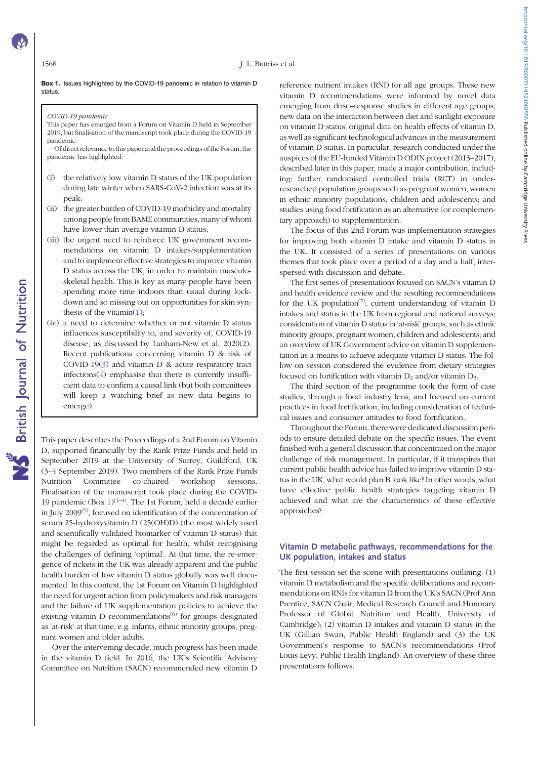#### Box 1. Issues highlighted by the COVID-19 pandemic in relation to vitamin D status.

## COVID-19 pandemic

This paper has emerged from a Forum on Vitamin D held in September 2019, but finalisation of the manuscript took place during the COVID-19 pandemic.

Of direct relevance to this paper and the proceedings of the Forum, the pandemic has highlighted:

- (i) the relatively low vitamin D status of the UK population during late winter when SARS-CoV-2 infection was at its peak;
- (ii) the greater burden of COVID-19 morbidity and mortality among people from BAME communities, many of whom have lower than average vitamin D status;
- (iii) the urgent need to reinforce UK government recommendations on vitamin D intakes/supplementation and to implement effective strategies to improve vitamin D status across the UK, in order to maintain musculoskeletal health. This is key as many people have been spending more time indoors than usual during lockdown and so missing out on opportunities for skin synthesis of the vitamin[\(1\)](#page-17-0);
- (iv) a need to determine whether or not vitamin D status influences susceptibility to, and severity of, COVID-19 disease, as discussed by Lanham-New et al. 2020([2](#page-17-0)). Recent publications concerning vitamin D & risk of COVID-19([3](#page-18-0)) and vitamin D & acute respiratory tract infections $(4)$  emphasise that there is currently insufficient data to confirm a causal link (but both committees will keep a watching brief as new data begins to emerge).

This paper describes the Proceedings of a 2nd Forum on Vitamin D, supported financially by the Rank Prize Funds and held in September 2019 at the University of Surrey, Guildford, UK (3–4 September 2019). Two members of the Rank Prize Funds Nutrition Committee co-chaired workshop sessions. Finalisation of the manuscript took place during the COVID-[1](#page-17-0)9 pandemic (Box  $1$ )<sup>(1-[4\)](#page-18-0)</sup>. The 1st Forum, held a decade earlier in July  $2009^{(5)}$  $2009^{(5)}$  $2009^{(5)}$ , focused on identification of the concentration of serum 25-hydroxyvitamin D (25(OH)D) (the most widely used and scientifically validated biomarker of vitamin D status) that might be regarded as optimal for health, whilst recognising the challenges of defining 'optimal'. At that time, the re-emergence of rickets in the UK was already apparent and the public health burden of low vitamin D status globally was well documented. In this context, the 1st Forum on Vitamin D highlighted the need for urgent action from policymakers and risk managers and the failure of UK supplementation policies to achieve the existing vitamin D recommendations<sup> $(6)$  $(6)$  $(6)$ </sup> for groups designated as 'at-risk' at that time, e.g. infants, ethnic minority groups, pregnant women and older adults.

Over the intervening decade, much progress has been made in the vitamin D field. In 2016, the UK's Scientific Advisory Committee on Nutrition (SACN) recommended new vitamin D reference nutrient intakes (RNI) for all age groups. These new vitamin D recommendations were informed by novel data emerging from dose–response studies in different age groups, new data on the interaction between diet and sunlight exposure on vitamin D status, original data on health effects of vitamin D, as well as significant technological advances in the measurement of vitamin D status. In particular, research conducted under the auspices of the EU-funded Vitamin D ODIN project (2013–2017), described later in this paper, made a major contribution, including: further randomised controlled trials (RCT) in underresearched population groups such as pregnant women, women in ethnic minority populations, children and adolescents; and studies using food fortification as an alternative (or complementary approach) to supplementation.

The focus of this 2nd Forum was implementation strategies for improving both vitamin D intake and vitamin D status in the UK. It consisted of a series of presentations on various themes that took place over a period of a day and a half, interspersed with discussion and debate.

The first series of presentations focused on SACN's vitamin D and health evidence review and the resulting recommendations for the UK population<sup> $(7)$  $(7)$ </sup>; current understanding of vitamin D intakes and status in the UK from regional and national surveys; consideration of vitamin D status in 'at-risk' groups, such as ethnic minority groups, pregnant women, children and adolescents; and an overview of UK Government advice on vitamin D supplementation as a means to achieve adequate vitamin D status. The follow-on session considered the evidence from dietary strategies focused on fortification with vitamin  $D_2$  and/or vitamin  $D_3$ .

The third section of the programme took the form of case studies, through a food industry lens, and focused on current practices in food fortification, including consideration of technical issues and consumer attitudes to food fortification.

Throughout the Forum, there were dedicated discussion periods to ensure detailed debate on the specific issues. The event finished with a general discussion that concentrated on the major challenge of risk management. In particular, if it transpires that current public health advice has failed to improve vitamin D status in the UK, what would plan B look like? In other words, what have effective public health strategies targeting vitamin D achieved and what are the characteristics of these effective approaches?

# Vitamin D metabolic pathways, recommendations for the UK population, intakes and status

The first session set the scene with presentations outlining: (1) vitamin D metabolism and the specific deliberations and recommendations on RNIs for vitamin D from the UK's SACN (Prof Ann Prentice, SACN Chair, Medical Research Council and Honorary Professor of Global Nutrition and Health, University of Cambridge); (2) vitamin D intakes and vitamin D status in the UK (Gillian Swan, Public Health England) and (3) the UK Government's response to SACN's recommendations (Prof Louis Levy, Public Health England). An overview of these three presentations follows.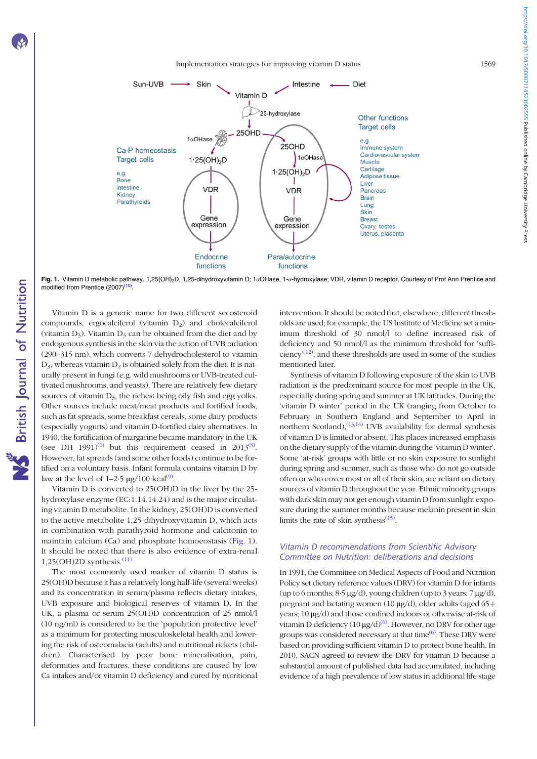#### Implementation strategies for improving vitamin D status 1569



Fig. 1. Vitamin D metabolic pathway. 1.25(OH)<sub>2</sub>D, 1.25-dihydroxyvitamin D; 1αOHase, 1-α-hydroxylase; VDR, vitamin D receptor. Courtesy of Prof Ann Prentice and modified from Prentice (2007)<sup>[\(10\)](#page-18-0)</sup>.

Vitamin D is a generic name for two different secosteroid compounds, ergocalciferol (vitamin  $D_2$ ) and cholecalciferol (vitamin  $D_3$ ). Vitamin  $D_3$  can be obtained from the diet and by endogenous synthesis in the skin via the action of UVB radiation (290–315 nm), which converts 7-dehydrocholesterol to vitamin  $D_3$ , whereas vitamin  $D_2$  is obtained solely from the diet. It is naturally present in fungi (e.g. wild mushrooms or UVB-treated cultivated mushrooms, and yeasts). There are relatively few dietary sources of vitamin  $D_3$ , the richest being oily fish and egg yolks. Other sources include meat/meat products and fortified foods, such as fat spreads, some breakfast cereals, some dairy products (especially yogurts) and vitamin D-fortified dairy alternatives. In 1940, the fortification of margarine became mandatory in the UK (see DH 1991)<sup>[\(6](#page-18-0))</sup> but this requirement ceased in 2013<sup>([8\)](#page-18-0)</sup>. However, fat spreads (and some other foods) continue to be fortified on a voluntary basis. Infant formula contains vitamin D by law at the level of  $1-2.5 \mu g/100 \text{ kcal}^{(9)}$  $1-2.5 \mu g/100 \text{ kcal}^{(9)}$  $1-2.5 \mu g/100 \text{ kcal}^{(9)}$ .

Vitamin D is converted to 25(OH)D in the liver by the 25 hydroxylase enzyme (EC:1.14.14.24) and is the major circulating vitamin D metabolite. In the kidney, 25(OH)D is converted to the active metabolite 1,25-dihydroxyvitamin D, which acts in combination with parathyroid hormone and calcitonin to maintain calcium (Ca) and phosphate homoeostasis (Fig. 1). It should be noted that there is also evidence of extra-renal  $1,25(OH)2D$  synthesis.<sup>([11](#page-18-0))</sup>

The most commonly used marker of vitamin D status is 25(OH)D because it has a relatively long half-life (several weeks) and its concentration in serum/plasma reflects dietary intakes, UVB exposure and biological reserves of vitamin D. In the UK, a plasma or serum 25(OH)D concentration of 25 nmol/l (10 ng/ml) is considered to be the 'population protective level' as a minimum for protecting musculoskeletal health and lowering the risk of osteomalacia (adults) and nutritional rickets (children). Characterised by poor bone mineralisation, pain, deformities and fractures, these conditions are caused by low Ca intakes and/or vitamin D deficiency and cured by nutritional intervention. It should be noted that, elsewhere, different thresholds are used; for example, the US Institute of Medicine set a minimum threshold of 30 nmol/l to define increased risk of deficiency and 50 nmol/l as the minimum threshold for 'sufficiency<sup> $(12)$  $(12)$ </sup>, and these thresholds are used in some of the studies mentioned later.

Synthesis of vitamin D following exposure of the skin to UVB radiation is the predominant source for most people in the UK, especially during spring and summer at UK latitudes. During the 'vitamin D winter' period in the UK (ranging from October to February in Southern England and September to April in northern Scotland), $^{(13,14)}$  $^{(13,14)}$  $^{(13,14)}$  UVB availability for dermal synthesis of vitamin D is limited or absent. This places increased emphasis on the dietary supply of the vitamin during the 'vitamin D winter'. Some 'at-risk' groups with little or no skin exposure to sunlight during spring and summer, such as those who do not go outside often or who cover most or all of their skin, are reliant on dietary sources of vitamin D throughout the year. Ethnic minority groups with dark skin may not get enough vitamin D from sunlight exposure during the summer months because melanin present in skin limits the rate of skin synthesis $(15)$ .

# Vitamin D recommendations from Scientific Advisory Committee on Nutrition: deliberations and decisions

In 1991, the Committee on Medical Aspects of Food and Nutrition Policy set dietary reference values (DRV) for vitamin D for infants (up to 6 months;  $8.5 \mu g/d$ ), young children (up to 3 years;  $7 \mu g/d$ ), pregnant and lactating women (10  $\mu$ g/d), older adults (aged 65+ years; 10 μg/d) and those confined indoors or otherwise at-risk of vitamin D deficiency  $(10\,\mu\text{g/d})^{(6)}$  $(10\,\mu\text{g/d})^{(6)}$  $(10\,\mu\text{g/d})^{(6)}$ . However, no DRV for other age groups was considered necessary at that time<sup>[\(6](#page-18-0))</sup>. These DRV were based on providing sufficient vitamin D to protect bone health. In 2010, SACN agreed to review the DRV for vitamin D because a substantial amount of published data had accumulated, including evidence of a high prevalence of low status in additional life stage https://doi.org/10.1017/50007114521002555 Published online by Cambridge University Press https://doi.org/10.1017/S0007114521002555 Published online by Cambridge University Press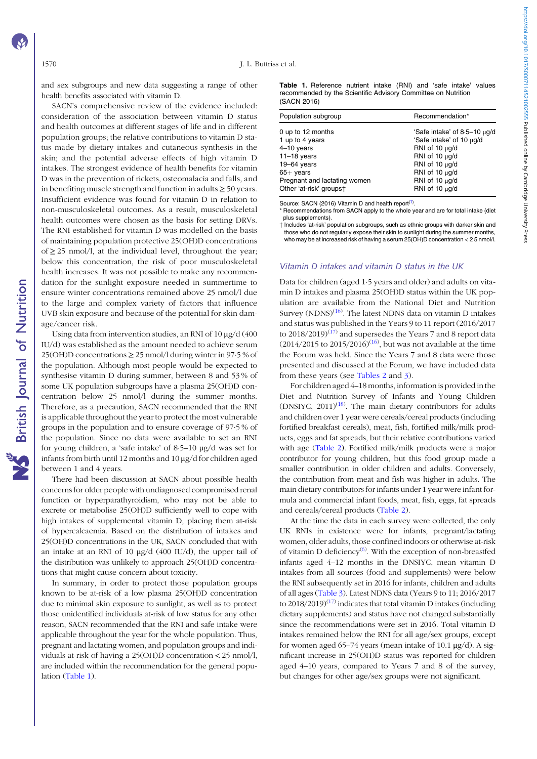and sex subgroups and new data suggesting a range of other health benefits associated with vitamin D.

SACN's comprehensive review of the evidence included: consideration of the association between vitamin D status and health outcomes at different stages of life and in different population groups; the relative contributions to vitamin D status made by dietary intakes and cutaneous synthesis in the skin; and the potential adverse effects of high vitamin D intakes. The strongest evidence of health benefits for vitamin D was in the prevention of rickets, osteomalacia and falls, and in benefiting muscle strength and function in adults  $\geq$  50 years. Insufficient evidence was found for vitamin D in relation to non-musculoskeletal outcomes. As a result, musculoskeletal health outcomes were chosen as the basis for setting DRVs. The RNI established for vitamin D was modelled on the basis of maintaining population protective 25(OH)D concentrations of  $\geq$  25 nmol/l, at the individual level, throughout the year; below this concentration, the risk of poor musculoskeletal health increases. It was not possible to make any recommendation for the sunlight exposure needed in summertime to ensure winter concentrations remained above 25 nmol/l due to the large and complex variety of factors that influence UVB skin exposure and because of the potential for skin damage/cancer risk.

Using data from intervention studies, an RNI of 10 μg/d (400 IU/d) was established as the amount needed to achieve serum 25(OH)D concentrations ≥ 25 nmol/l during winter in 97·5 % of the population. Although most people would be expected to synthesise vitamin D during summer, between 8 and 53 % of some UK population subgroups have a plasma 25(OH)D concentration below 25 nmol/l during the summer months. Therefore, as a precaution, SACN recommended that the RNI is applicable throughout the year to protect the most vulnerable groups in the population and to ensure coverage of 97·5 % of the population. Since no data were available to set an RNI for young children, a 'safe intake' of 8·5–10 μg/d was set for infants from birth until 12 months and 10 μg/d for children aged between 1 and 4 years.

There had been discussion at SACN about possible health concerns for older people with undiagnosed compromised renal function or hyperparathyroidism, who may not be able to excrete or metabolise 25(OH)D sufficiently well to cope with high intakes of supplemental vitamin D, placing them at-risk of hypercalcaemia. Based on the distribution of intakes and 25(OH)D concentrations in the UK, SACN concluded that with an intake at an RNI of 10  $\mu$ g/d (400 IU/d), the upper tail of the distribution was unlikely to approach 25(OH)D concentrations that might cause concern about toxicity.

In summary, in order to protect those population groups known to be at-risk of a low plasma 25(OH)D concentration due to minimal skin exposure to sunlight, as well as to protect those unidentified individuals at-risk of low status for any other reason, SACN recommended that the RNI and safe intake were applicable throughout the year for the whole population. Thus, pregnant and lactating women, and population groups and individuals at-risk of having a 25(OH)D concentration < 25 nmol/l, are included within the recommendation for the general population (Table 1).

Table 1. Reference nutrient intake (RNI) and 'safe intake' values recommended by the Scientific Advisory Committee on Nutrition (SACN 2016)

| Recommendation*                                                                                                                                                                                    |
|----------------------------------------------------------------------------------------------------------------------------------------------------------------------------------------------------|
| 'Safe intake' of $8.5-10 \mu g/d$<br>'Safe intake' of 10 µg/d<br>RNI of 10 $\mu$ g/d<br>RNI of 10 $\mu$ g/d<br>RNI of 10 $\mu$ g/d<br>RNI of 10 $\mu$ g/d<br>RNI of 10 $\mu$ g/d<br>RNI of 10 µg/d |
|                                                                                                                                                                                                    |

Source: SACN (2016) Vitamin D and health report<sup>([7](#page-18-0))</sup>.

\* Recommendations from SACN apply to the whole year and are for total intake (diet plus supplements).

† Includes 'at-risk' population subgroups, such as ethnic groups with darker skin and those who do not regularly expose their skin to sunlight during the summer months, who may be at increased risk of having a serum 25(OH)D concentration < 2 5 nmol/l.

#### Vitamin D intakes and vitamin D status in the UK

Data for children (aged 1·5 years and older) and adults on vitamin D intakes and plasma 25(OH)D status within the UK population are available from the National Diet and Nutrition Survey (NDNS)<sup>[\(16\)](#page-18-0)</sup>. The latest NDNS data on vitamin D intakes and status was published in the Years 9 to 11 report (2016/2017 to  $2018/2019$ <sup>([17](#page-18-0))</sup> and supersedes the Years 7 and 8 report data  $(2014/2015$  to  $2015/2016)^{(16)}$  $2015/2016)^{(16)}$  $2015/2016)^{(16)}$ , but was not available at the time the Forum was held. Since the Years 7 and 8 data were those presented and discussed at the Forum, we have included data from these years (see [Tables 2](#page-4-0) and [3\)](#page-4-0).

For children aged 4–18 months, information is provided in the Diet and Nutrition Survey of Infants and Young Children  $(DNSIYC, 2011)^{(18)}$  $(DNSIYC, 2011)^{(18)}$  $(DNSIYC, 2011)^{(18)}$ . The main dietary contributors for adults and children over 1 year were cereals/cereal products (including fortified breakfast cereals), meat, fish, fortified milk/milk products, eggs and fat spreads, but their relative contributions varied with age ([Table 2\)](#page-4-0). Fortified milk/milk products were a major contributor for young children, but this food group made a smaller contribution in older children and adults. Conversely, the contribution from meat and fish was higher in adults. The main dietary contributors for infants under 1 year were infant formula and commercial infant foods, meat, fish, eggs, fat spreads and cereals/cereal products [\(Table 2\)](#page-4-0).

At the time the data in each survey were collected, the only UK RNIs in existence were for infants, pregnant/lactating women, older adults, those confined indoors or otherwise at-risk of vitamin D deficiency<sup>[\(6](#page-18-0))</sup>. With the exception of non-breastfed infants aged 4–12 months in the DNSIYC, mean vitamin D intakes from all sources (food and supplements) were below the RNI subsequently set in 2016 for infants, children and adults of all ages ([Table 3](#page-4-0)). Latest NDNS data (Years 9 to 11; 2016/2017 to  $2018/2019$ <sup>[\(17](#page-18-0))</sup> indicates that total vitamin D intakes (including dietary supplements) and status have not changed substantially since the recommendations were set in 2016. Total vitamin D intakes remained below the RNI for all age/sex groups, except for women aged 65–74 years (mean intake of 10.1  $\mu$ g/d). A significant increase in 25(OH)D status was reported for children aged 4–10 years, compared to Years 7 and 8 of the survey, but changes for other age/sex groups were not significant.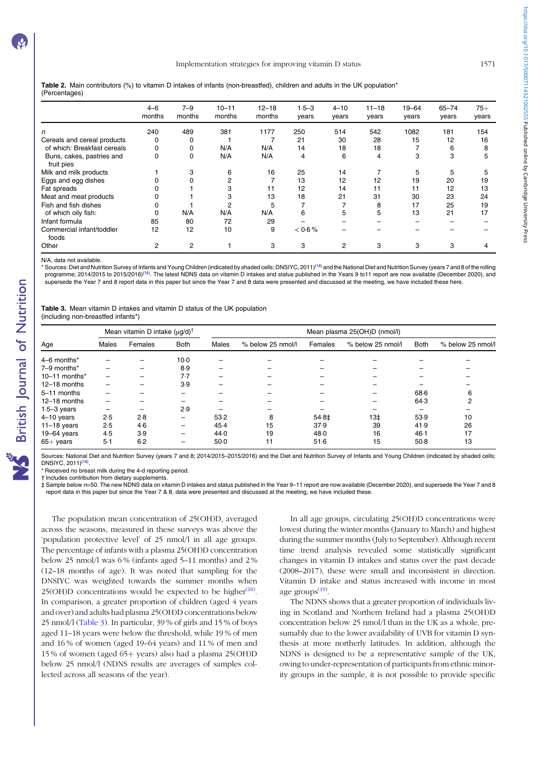<span id="page-4-0"></span>Table 2. Main contributors (%) to vitamin D intakes of infants (non-breastfed), children and adults in the UK population\* (Percentages)

|                                         | $4 - 6$<br>months | $7 - 9$<br>months | $10 - 11$<br>months | $12 - 18$<br>months | $1.5 - 3$<br>years | $4 - 10$<br>years | $11 - 18$<br>years | $19 - 64$<br>years | $65 - 74$<br>years | $75+$<br>years |
|-----------------------------------------|-------------------|-------------------|---------------------|---------------------|--------------------|-------------------|--------------------|--------------------|--------------------|----------------|
| n                                       | 240               | 489               | 381                 | 1177                | 250                | 514               | 542                | 1082               | 181                | 154            |
| Cereals and cereal products             | 0                 | 0                 |                     |                     | 21                 | 30                | 28                 | 15                 | 12                 | 16             |
| of which: Breakfast cereals             |                   | 0                 | N/A                 | N/A                 | 14                 | 18                | 18                 |                    | 6                  | 8              |
| Buns, cakes, pastries and<br>fruit pies | 0                 | 0                 | N/A                 | N/A                 | 4                  | 6                 | 4                  | 3                  | 3                  | 5              |
| Milk and milk products                  |                   | 3                 | 6                   | 16                  | 25                 | 14                |                    | 5                  | 5                  |                |
| Eggs and egg dishes                     |                   |                   |                     |                     | 13                 | 12                | 12                 | 19                 | 20                 | 19             |
| Fat spreads                             |                   |                   |                     | 11                  | 12                 | 14                | 11                 | 11                 | 12                 | 13             |
| Meat and meat products                  |                   |                   |                     | 13                  | 18                 | 21                | 31                 | 30                 | 23                 | 24             |
| Fish and fish dishes                    |                   |                   |                     | 5                   |                    |                   | 8                  | 17                 | 25                 | 19             |
| of which oily fish:                     |                   | N/A               | N/A                 | N/A                 | 6                  | 5                 | 5                  | 13                 | 21                 | 17             |
| Infant formula                          | 85                | 80                | 72                  | 29                  |                    |                   |                    |                    |                    |                |
| Commercial infant/toddler<br>foods      | 12                | 12                | 10                  | 9                   | < 0.6 %            |                   |                    |                    |                    |                |
| Other                                   | 2                 | 2                 |                     | 3                   | 3                  | 2                 | 3                  | 3                  | 3                  |                |

N/A, data not available.

'Sources: Diet and Nutrition Survey of Infants and Young Children (indicated by shaded cells; DNSIYC, 2011)<sup>([18\)](#page-18-0)</sup> and the National Diet and Nutrition Survey (years 7 and 8 of the rolling programme; 2014/2015 to 2015/20[16\)](#page-18-0)<sup>(16)</sup>. The latest NDNS data on vitamin D intakes and status published in the Years 9 to11 report are now available (December 2020), and supersede the Year 7 and 8 report data in this paper but since the Year 7 and 8 data were presented and discussed at the meeting, we have included these here.

Table 3. Mean vitamin D intakes and vitamin D status of the UK population (including non-breastfed infants\*)

|                 | Mean vitamin D intake $(\mu q/d)^{\dagger}$ |         |             |              | Mean plasma 25(OH)D (nmol/l) |         |                   |             |                   |  |
|-----------------|---------------------------------------------|---------|-------------|--------------|------------------------------|---------|-------------------|-------------|-------------------|--|
| Age             | <b>Males</b>                                | Females | <b>Both</b> | <b>Males</b> | % below 25 nmol/l            | Females | % below 25 nmol/l | <b>Both</b> | % below 25 nmol/l |  |
| 4–6 months*     |                                             |         | $10-0$      |              |                              |         |                   |             |                   |  |
| 7-9 months*     |                                             |         | 8.9         |              |                              |         |                   |             |                   |  |
| $10-11$ months* |                                             |         | 7.7         |              |                              |         |                   |             |                   |  |
| 12-18 months    |                                             |         | 3.9         |              |                              |         |                   |             |                   |  |
| 5-11 months     |                                             |         |             |              |                              |         |                   | 68.6        | 6                 |  |
| 12-18 months    |                                             |         |             |              |                              |         |                   | 64.3        | 2                 |  |
| $1.5 - 3$ years |                                             |         | 2.9         |              |                              |         |                   |             |                   |  |
| $4-10$ years    | 2.5                                         | 2.8     |             | 53.2         | 8                            | $54.8+$ | $13+$             | 53.9        | 10                |  |
| $11-18$ years   | 2.5                                         | $4-6$   |             | 45.4         | 15                           | 37.9    | 39                | 41.9        | 26                |  |
| $19-64$ years   | 4.5                                         | 3.9     |             | 44.0         | 19                           | 48.0    | 16                | $46-1$      | 17                |  |
| $65+$ years     | $5-1$                                       | 6.2     |             | 50.0         | 11                           | 51.6    | 15                | 50.8        | 13                |  |

Sources: National Diet and Nutrition Survey (years 7 and 8; 2014/2015–2015/2016) and the Diet and Nutrition Survey of Infants and Young Children (indicated by shaded cells; DNSIYC, 2011)([18\)](#page-18-0) .

Received no breast milk during the 4-d reporting period.

† Includes contribution from dietary supplements.

 $\,\,\downarrow\,$  Sample below n=50. The new NDNS data on vitamin D intakes and status published in the Year 9–11 report are now available (December 2020), and supersede the Year 7 and 8 report data in this paper but since the Year 7 & 8, data were presented and discussed at the meeting, we have included these.

The population mean concentration of 25(OH)D, averaged across the seasons, measured in these surveys was above the 'population protective level' of 25 nmol/l in all age groups. The percentage of infants with a plasma 25(OH)D concentration below 25 nmol/l was 6 % (infants aged 5–11 months) and 2 % (12–18 months of age). It was noted that sampling for the DNSIYC was weighted towards the summer months when  $25(OH)D$  concentrations would be expected to be higher<sup>([18\)](#page-18-0)</sup>. In comparison, a greater proportion of children (aged 4 years and over) and adults had plasma 25(OH)D concentrations below 25 nmol/l (Table 3). In particular, 39 % of girls and 15 % of boys aged 11–18 years were below the threshold, while 19 % of men and 16 % of women (aged 19–64 years) and 11 % of men and 15% of women (aged 65+ years) also had a plasma 25(OH)D below 25 nmol/l (NDNS results are averages of samples collected across all seasons of the year).

In all age groups, circulating 25(OH)D concentrations were lowest during the winter months (January to March) and highest during the summer months (July to September). Although recent time trend analysis revealed some statistically significant changes in vitamin D intakes and status over the past decade (2008–2017), these were small and inconsistent in direction. Vitamin D intake and status increased with income in most age groups<sup>([19\)](#page-18-0)</sup>.

The NDNS shows that a greater proportion of individuals living in Scotland and Northern Ireland had a plasma 25(OH)D concentration below 25 nmol/l than in the UK as a whole, presumably due to the lower availability of UVB for vitamin D synthesis at more northerly latitudes. In addition, although the NDNS is designed to be a representative sample of the UK, owing to under-representation of participants from ethnic minority groups in the sample, it is not possible to provide specific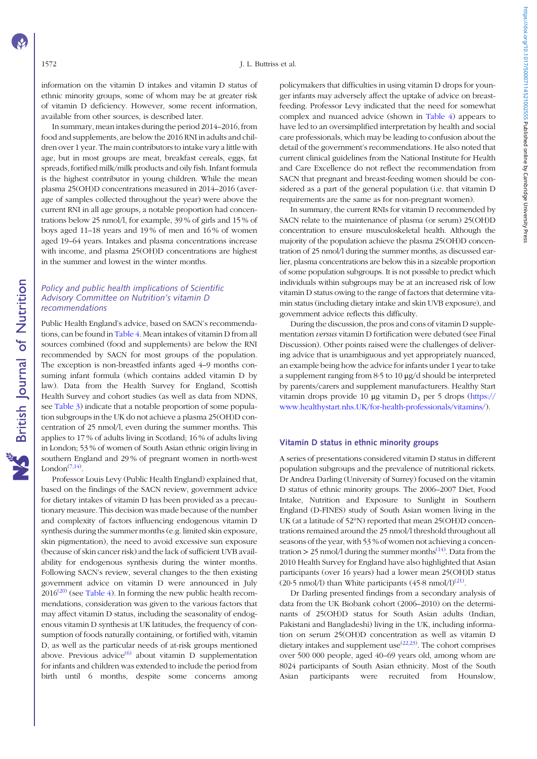information on the vitamin D intakes and vitamin D status of ethnic minority groups, some of whom may be at greater risk of vitamin D deficiency. However, some recent information, available from other sources, is described later.

In summary, mean intakes during the period 2014–2016, from food and supplements, are below the 2016 RNI in adults and children over 1 year. The main contributors to intake vary a little with age, but in most groups are meat, breakfast cereals, eggs, fat spreads, fortified milk/milk products and oily fish. Infant formula is the highest contributor in young children. While the mean plasma 25(OH)D concentrations measured in 2014–2016 (average of samples collected throughout the year) were above the current RNI in all age groups, a notable proportion had concentrations below 25 nmol/l, for example, 39 % of girls and 15 % of boys aged 11–18 years and 19 % of men and 16 % of women aged 19–64 years. Intakes and plasma concentrations increase with income, and plasma 25(OH)D concentrations are highest in the summer and lowest in the winter months.

# Policy and public health implications of Scientific Advisory Committee on Nutrition's vitamin D recommendations

Public Health England's advice, based on SACN's recommendations, can be found in [Table 4.](#page-6-0) Mean intakes of vitamin D from all sources combined (food and supplements) are below the RNI recommended by SACN for most groups of the population. The exception is non-breastfed infants aged 4–9 months consuming infant formula (which contains added vitamin D by law). Data from the Health Survey for England, Scottish Health Survey and cohort studies (as well as data from NDNS, see [Table 3\)](#page-4-0) indicate that a notable proportion of some population subgroups in the UK do not achieve a plasma 25(OH)D concentration of 25 nmol/l, even during the summer months. This applies to 17 % of adults living in Scotland; 16 % of adults living in London; 53 % of women of South Asian ethnic origin living in southern England and 29 % of pregnant women in north-west London $(7,14)$  $(7,14)$  $(7,14)$  $(7,14)$ .

Professor Louis Levy (Public Health England) explained that, based on the findings of the SACN review, government advice for dietary intakes of vitamin D has been provided as a precautionary measure. This decision was made because of the number and complexity of factors influencing endogenous vitamin D synthesis during the summer months (e.g. limited skin exposure, skin pigmentation), the need to avoid excessive sun exposure (because of skin cancer risk) and the lack of sufficient UVB availability for endogenous synthesis during the winter months. Following SACN's review, several changes to the then existing government advice on vitamin D were announced in July  $2016^{(20)}$  $2016^{(20)}$  (see [Table 4](#page-6-0)). In forming the new public health recommendations, consideration was given to the various factors that may affect vitamin D status, including the seasonality of endogenous vitamin D synthesis at UK latitudes, the frequency of consumption of foods naturally containing, or fortified with, vitamin D, as well as the particular needs of at-risk groups mentioned above. Previous advice $^{(6)}$  $^{(6)}$  $^{(6)}$  about vitamin D supplementation for infants and children was extended to include the period from birth until 6 months, despite some concerns among

policymakers that difficulties in using vitamin D drops for younger infants may adversely affect the uptake of advice on breastfeeding. Professor Levy indicated that the need for somewhat complex and nuanced advice (shown in [Table 4\)](#page-6-0) appears to have led to an oversimplified interpretation by health and social care professionals, which may be leading to confusion about the detail of the government's recommendations. He also noted that current clinical guidelines from the National Institute for Health and Care Excellence do not reflect the recommendation from SACN that pregnant and breast-feeding women should be considered as a part of the general population (i.e. that vitamin D requirements are the same as for non-pregnant women).

In summary, the current RNIs for vitamin D recommended by SACN relate to the maintenance of plasma (or serum) 25(OH)D concentration to ensure musculoskeletal health. Although the majority of the population achieve the plasma 25(OH)D concentration of 25 nmol/l during the summer months, as discussed earlier, plasma concentrations are below this in a sizeable proportion of some population subgroups. It is not possible to predict which individuals within subgroups may be at an increased risk of low vitamin D status owing to the range of factors that determine vitamin status (including dietary intake and skin UVB exposure), and government advice reflects this difficulty.

During the discussion, the pros and cons of vitamin D supplementation versus vitamin D fortification were debated (see Final Discussion). Other points raised were the challenges of delivering advice that is unambiguous and yet appropriately nuanced, an example being how the advice for infants under 1 year to take a supplement ranging from 8·5 to 10 μg/d should be interpreted by parents/carers and supplement manufacturers. Healthy Start vitamin drops provide 10 μg vitamin  $D_3$  per 5 drops ([https://](https://www.healthystart.nhs.UK/for-health-professionals/vitamins/) [www.healthystart.nhs.UK/for-health-professionals/vitamins/](https://www.healthystart.nhs.UK/for-health-professionals/vitamins/)).

### Vitamin D status in ethnic minority groups

A series of presentations considered vitamin D status in different population subgroups and the prevalence of nutritional rickets. Dr Andrea Darling (University of Surrey) focused on the vitamin D status of ethnic minority groups. The 2006–2007 Diet, Food Intake, Nutrition and Exposure to Sunlight in Southern England (D-FINES) study of South Asian women living in the UK (at a latitude of 52°N) reported that mean 25(OH)D concentrations remained around the 25 nmol/l threshold throughout all seasons of the year, with 53 % of women not achieving a concen-tration > 25 nmol/l during the summer months<sup>([14\)](#page-18-0)</sup>. Data from the 2010 Health Survey for England have also highlighted that Asian participants (over 16 years) had a lower mean 25(OH)D status (20.5 nmol/l) than White participants  $(45.8 \text{ nmol/l})^{(21)}$  $(45.8 \text{ nmol/l})^{(21)}$  $(45.8 \text{ nmol/l})^{(21)}$ .

Dr Darling presented findings from a secondary analysis of data from the UK Biobank cohort (2006–2010) on the determinants of 25(OH)D status for South Asian adults (Indian, Pakistani and Bangladeshi) living in the UK, including information on serum 25(OH)D concentration as well as vitamin D dietary intakes and supplement use $(22,23)$ . The cohort comprises over 500 000 people, aged 40–69 years old, among whom are 8024 participants of South Asian ethnicity. Most of the South Asian participants were recruited from Hounslow,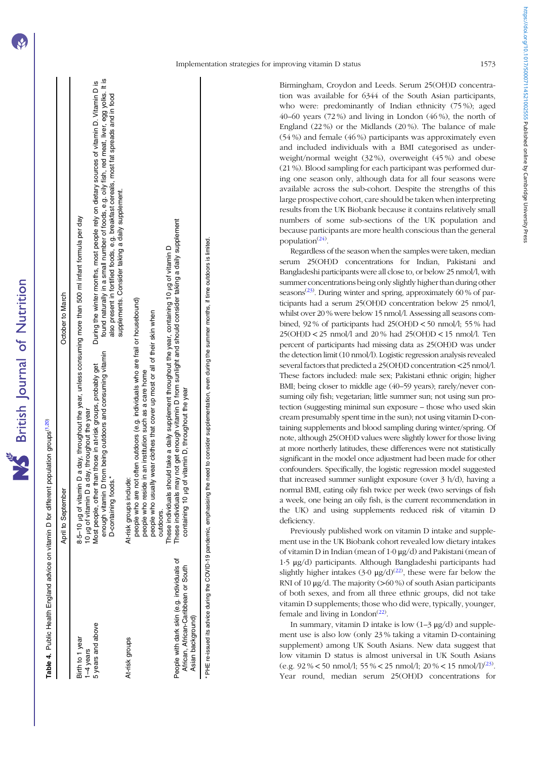<span id="page-6-0"></span>

|                              | April to September                                                                                                                                     | October to March                                                                                                                                                                                                                                                                   |
|------------------------------|--------------------------------------------------------------------------------------------------------------------------------------------------------|------------------------------------------------------------------------------------------------------------------------------------------------------------------------------------------------------------------------------------------------------------------------------------|
| Birth to 1 year<br>1-4 years | Io µg of vitamin D a day, throughout the year<br>8-5-10 µg of vitamin                                                                                  | D a day, throughout the year, unless consuming more than 500 ml infant formula per day                                                                                                                                                                                             |
| 5 years and above            | from being outdoors and consuming vitamin<br>Most people, other than those in at-risk groups, probably get<br>J-containing foods.*<br>anough vitamin D | found naturally in a small number of foods, e.g. oily fish, red meat, liver, egg yolks. It is<br>During the winter months, most people rely on dietary sources of vitamin D. Vitamin D is<br>also present in fortified foods, e.g. breakfast cereals, most fat spreads and in food |
| At-risk groups               | <u>ω</u><br>At-risk groups includ                                                                                                                      | supplements. Consider taking a daily supplement.                                                                                                                                                                                                                                   |
|                              | people who are not often outdoors (e.g. individuals who are frail or housebound)<br>beople who reside in an institution such as a care home            |                                                                                                                                                                                                                                                                                    |

people who usually wear clothes that cover up most or all of their skin when

people who usually wear clothes that cover up most or all of their skin when

These individuals should take a daily supplement throughout the year, containing 10 μg of vitamin D

These individuals should take a daily supplement throughout the year, containing 10 µg of vitamin D

These individuals may not get enough vitamin D from sunlight and should consider taking a daily supplement

These individuals may not get enough vitamin D from sunlight and should consider taking a daily supplement

containing 10 μg of vitamin D, throughout the year

containing 10 µg of vitamin D, throughout the year

\* PHE re-issued its advice during the COVID-19 pandemic, emphasising the need to consider supplementation, even during the summer months, if time outdoors is limited.

PHE re-issued its advice during the COVID-19 pandemic, emphasising the need to consider supplementation, even during the summer months, if time outdoors is limited.

outdoors.

outdoors.

People with dark skin (e.g. individuals of African, African-Caribbean or South

People with dark skin (e.g. individuals African, African-Caribbean or South

৳

Asian background)

Asian background)

Table 4. Public Health England advice on vitamin D for different population groups<sup>(1,20)</sup> Public Health England advice on vitamin D for different population groups<sup>[\(1](#page-17-0),[20](#page-18-0))</sup> Birmingham, Croydon and Leeds. Serum 25(OH)D concentration was available for 6344 of the South Asian participants, who were: predominantly of Indian ethnicity (75%); aged 40–60 years (72 %) and living in London (46 %), the north of England (22 %) or the Midlands (20 %). The balance of male (54 %) and female (46 %) participants was approximately even and included individuals with a BMI categorised as underweight/normal weight (32 %), overweight (45 %) and obese (21 %). Blood sampling for each participant was performed during one season only, although data for all four seasons were available across the sub-cohort. Despite the strengths of this large prospective cohort, care should be taken when interpreting results from the UK Biobank because it contains relatively small numbers of some sub-sections of the UK population and because participants are more health conscious than the general population<sup>([24\)](#page-18-0)</sup>.

Regardless of the season when the samples were taken, median serum 25(OH)D concentrations for Indian, Pakistani and Bangladeshi participants were all close to, or below 25 nmol/l, with summer concentrations being only slightly higher than during other seasons<sup> $(23)$  $(23)$ </sup>. During winter and spring, approximately 60 % of participants had a serum 25(OH)D concentration below 25 nmol/l, whilst over 20 % were below 15 nmol/l. Assessing all seasons combined, 92% of participants had  $25(OH)D < 50$  nmol/l; 55% had 25(OH)D < 25 nmol/l and 20 % had 25(OH)D < 15 nmol/l. Ten percent of participants had missing data as 25(OH)D was under the detection limit (10 nmol/l). Logistic regression analysis revealed several factors that predicted a 25(OH)D concentration<25 nmol/l. These factors included: male sex; Pakistani ethnic origin; higher BMI; being closer to middle age (40–59 years); rarely/never consuming oily fish; vegetarian; little summer sun; not using sun protection (suggesting minimal sun exposure – those who used skin cream presumably spent time in the sun); not using vitamin D-containing supplements and blood sampling during winter/spring. Of note, although 25(OH)D values were slightly lower for those living at more northerly latitudes, these differences were not statistically significant in the model once adjustment had been made for other confounders. Specifically, the logistic regression model suggested that increased summer sunlight exposure (over 3 h/d), having a normal BMI, eating oily fish twice per week (two servings of fish a week, one being an oily fish, is the current recommendation in the UK) and using supplements reduced risk of vitamin D deficiency.

Previously published work on vitamin D intake and supplement use in the UK Biobank cohort revealed low dietary intakes of vitamin D in Indian (mean of 1·0 μg/d) and Pakistani (mean of 1·5 μg/d) participants. Although Bangladeshi participants had slightly higher intakes  $(3.0 \text{ µg/d})^{(22)}$  $(3.0 \text{ µg/d})^{(22)}$  $(3.0 \text{ µg/d})^{(22)}$ , these were far below the RNI of 10  $\mu$ g/d. The majority (>60 %) of south Asian participants of both sexes, and from all three ethnic groups, did not take vitamin D supplements; those who did were, typically, younger, female and living in London<sup> $(22)$  $(22)$  $(22)$ </sup>.

In summary, vitamin D intake is low  $(1-3 \mu g/d)$  and supplement use is also low (only 23 % taking a vitamin D-containing supplement) among UK South Asians. New data suggest that low vitamin D status is almost universal in UK South Asians (e.g.  $92\% < 50$  nmol/l;  $55\% < 25$  nmol/l;  $20\% < 15$  nmol/l)<sup>([23](#page-18-0))</sup>. Year round, median serum 25(OH)D concentrations for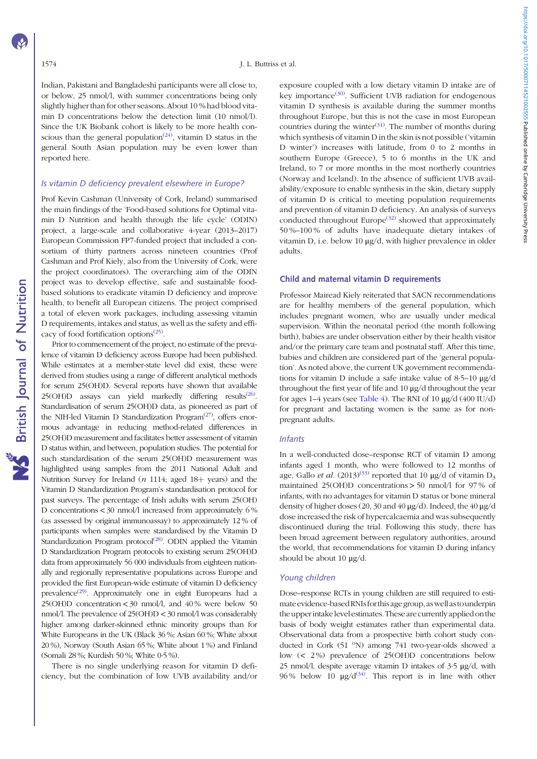https://doi.org/10.1017/500071145210025555 Published online by Cambridge University Press https://doi.org/10.1017/S0007114521002555 Published online by Cambridge University Press

Indian, Pakistani and Bangladeshi participants were all close to, or below, 25 nmol/l, with summer concentrations being only slightly higher than for other seasons. About 10 % had blood vitamin D concentrations below the detection limit (10 nmol/l). Since the UK Biobank cohort is likely to be more health conscious than the general population<sup> $(24)$  $(24)$  $(24)$ </sup>, vitamin D status in the general South Asian population may be even lower than reported here.

# Is vitamin D deficiency prevalent elsewhere in Europe?

Prof Kevin Cashman (University of Cork, Ireland) summarised the main findings of the 'Food-based solutions for Optimal vitamin D Nutrition and health through the life cycle' (ODIN) project, a large-scale and collaborative 4-year (2013–2017) European Commission FP7-funded project that included a consortium of thirty partners across nineteen countries (Prof Cashman and Prof Kiely, also from the University of Cork, were the project coordinators). The overarching aim of the ODIN project was to develop effective, safe and sustainable foodbased solutions to eradicate vitamin D deficiency and improve health, to benefit all European citizens. The project comprised a total of eleven work packages, including assessing vitamin D requirements, intakes and status, as well as the safety and effi-cacy of food fortification options<sup>[\(25\)](#page-18-0)</sup>.

Prior to commencement of the project, no estimate of the prevalence of vitamin D deficiency across Europe had been published. While estimates at a member-state level did exist, these were derived from studies using a range of different analytical methods for serum 25(OH)D. Several reports have shown that available  $25(OH)D$  assays can yield markedly differing results<sup>[\(26\)](#page-18-0)</sup>. Standardisation of serum 25(OH)D data, as pioneered as part of the NIH-led Vitamin D Standardization Program $(27)$ , offers enormous advantage in reducing method-related differences in 25(OH)D measurement and facilitates better assessment of vitamin D status within, and between, population studies. The potential for such standardisation of the serum 25(OH)D measurement was highlighted using samples from the 2011 National Adult and Nutrition Survey for Ireland ( $n$  1114; aged 18+ years) and the Vitamin D Standardization Program's standardisation protocol for past surveys. The percentage of Irish adults with serum 25(OH) D concentrations  $\lt$  30 nmol/l increased from approximately 6% (as assessed by original immunoassay) to approximately 12 % of participants when samples were standardised by the Vitamin D Standardization Program protocol<sup>[\(28](#page-18-0))</sup>. ODIN applied the Vitamin D Standardization Program protocols to existing serum 25(OH)D data from approximately 56 000 individuals from eighteen nationally and regionally representative populations across Europe and provided the first European-wide estimate of vitamin D deficiency prevalence<sup>([29\)](#page-18-0)</sup>. Approximately one in eight Europeans had a 25(OH)D concentration < 30 nmol/l, and 40 % were below 50 nmol/l. The prevalence of 25(OH)D < 30 nmol/l was considerably higher among darker-skinned ethnic minority groups than for White Europeans in the UK (Black 36 %; Asian 60 %; White about 20 %), Norway (South Asian 65 %; White about 1 %) and Finland (Somali 28 %; Kurdish 50 %; White 0·5 %).

There is no single underlying reason for vitamin D deficiency, but the combination of low UVB availability and/or exposure coupled with a low dietary vitamin D intake are of key importance<sup>([30](#page-18-0))</sup>. Sufficient UVB radiation for endogenous vitamin D synthesis is available during the summer months throughout Europe, but this is not the case in most European countries during the winter $(31)$ . The number of months during which synthesis of vitamin D in the skin is not possible ('vitamin D winter') increases with latitude, from 0 to 2 months in southern Europe (Greece), 5 to 6 months in the UK and Ireland, to 7 or more months in the most northerly countries (Norway and Iceland). In the absence of sufficient UVB availability/exposure to enable synthesis in the skin, dietary supply of vitamin D is critical to meeting population requirements and prevention of vitamin D deficiency. An analysis of surveys conducted throughout Europe<sup> $(32)$  $(32)$  $(32)$ </sup> showed that approximately 50 %–100 % of adults have inadequate dietary intakes of vitamin D, i.e. below 10 μg/d, with higher prevalence in older adults.

#### Child and maternal vitamin D requirements

Professor Mairead Kiely reiterated that SACN recommendations are for healthy members of the general population, which includes pregnant women, who are usually under medical supervision. Within the neonatal period (the month following birth), babies are under observation either by their health visitor and/or the primary care team and postnatal staff. After this time, babies and children are considered part of the 'general population'. As noted above, the current UK government recommendations for vitamin D include a safe intake value of 8·5–10 μg/d throughout the first year of life and 10 μg/d throughout the year for ages  $1-4$  years (see [Table 4\)](#page-6-0). The RNI of  $10 \mu g/d$  (400 IU/d) for pregnant and lactating women is the same as for nonpregnant adults.

### Infants

In a well-conducted dose–response RCT of vitamin D among infants aged 1 month, who were followed to 12 months of age, Gallo et al.  $(2013)^{(33)}$  $(2013)^{(33)}$  $(2013)^{(33)}$  reported that 10 µg/d of vitamin D<sub>3</sub> maintained 25(OH)D concentrations > 50 nmol/l for 97 % of infants, with no advantages for vitamin D status or bone mineral density of higher doses (20, 30 and 40 μg/d). Indeed, the 40 μg/d dose increased the risk of hypercalcaemia and was subsequently discontinued during the trial. Following this study, there has been broad agreement between regulatory authorities, around the world, that recommendations for vitamin D during infancy should be about 10 μg/d.

#### Young children

Dose–response RCTs in young children are still required to estimate evidence-based RNIs for this age group, as well as to underpin the upper intake level estimates. These are currently applied onthe basis of body weight estimates rather than experimental data. Observational data from a prospective birth cohort study conducted in Cork (51 °N) among 741 two-year-olds showed a low (< 2 %) prevalence of 25(OH)D concentrations below 25 nmol/l, despite average vitamin D intakes of  $3.5 \mu g/d$ , with 96% below 10  $\mu$ g/d<sup>([34](#page-18-0))</sup>. This report is in line with other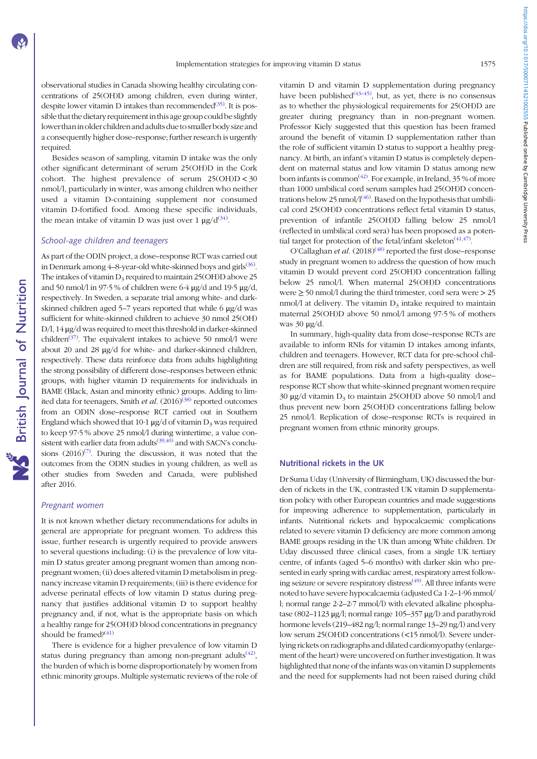observational studies in Canada showing healthy circulating concentrations of 25(OH)D among children, even during winter, despite lower vitamin D intakes than recommended $(35)$  $(35)$ . It is possible thatthe dietary requirement inthis age group could be slightly lower than in older children and adults due to smaller body size and a consequently higher dose–response; further research is urgently required.

Besides season of sampling, vitamin D intake was the only other significant determinant of serum 25(OH)D in the Cork cohort. The highest prevalence of serum 25(OH)D < 30 nmol/l, particularly in winter, was among children who neither used a vitamin D-containing supplement nor consumed vitamin D-fortified food. Among these specific individuals, the mean intake of vitamin D was just over  $1 \mu g/d^{(34)}$  $1 \mu g/d^{(34)}$  $1 \mu g/d^{(34)}$ .

# School-age children and teenagers

As part of the ODIN project, a dose–response RCT was carried out in Denmark among 4–8-year-old white-skinned boys and girls<sup>([36\)](#page-19-0)</sup>. The intakes of vitamin  $D_3$  required to maintain 25(OH)D above 25 and 50 nmol/l in 97.5 % of children were  $6.4 \mu g/d$  and 19.5  $\mu g/d$ , respectively. In Sweden, a separate trial among white- and darkskinned children aged 5–7 years reported that while 6 μg/d was sufficient for white-skinned children to achieve 30 nmol 25(OH) D/l, 14 μg/d was required to meet this threshold in darker-skinned children<sup>[\(37](#page-19-0))</sup>. The equivalent intakes to achieve 50 nmol/l were about 20 and 28 μg/d for white- and darker-skinned children, respectively. These data reinforce data from adults highlighting the strong possibility of different dose–responses between ethnic groups, with higher vitamin D requirements for individuals in BAME (Black, Asian and minority ethnic) groups. Adding to limited data for teenagers, Smith et al.  $(2016)^{(38)}$  $(2016)^{(38)}$  $(2016)^{(38)}$  reported outcomes from an ODIN dose–response RCT carried out in Southern England which showed that 10.1  $\mu$ g/d of vitamin D<sub>3</sub> was required to keep 97·5 % above 25 nmol/l during wintertime, a value consistent with earlier data from adults<sup> $(39,40)$  $(39,40)$  $(39,40)$ </sup> and with SACN's conclusions  $(2016)^{(7)}$  $(2016)^{(7)}$  $(2016)^{(7)}$ . During the discussion, it was noted that the outcomes from the ODIN studies in young children, as well as other studies from Sweden and Canada, were published after 2016.

#### Pregnant women

It is not known whether dietary recommendations for adults in general are appropriate for pregnant women. To address this issue, further research is urgently required to provide answers to several questions including: (i) is the prevalence of low vitamin D status greater among pregnant women than among nonpregnant women; (ii) does altered vitamin D metabolism in pregnancy increase vitamin D requirements; (iii) is there evidence for adverse perinatal effects of low vitamin D status during pregnancy that justifies additional vitamin D to support healthy pregnancy and, if not, what is the appropriate basis on which a healthy range for 25(OH)D blood concentrations in pregnancy should be framed? $(41)$  $(41)$  $(41)$ 

There is evidence for a higher prevalence of low vitamin D status during pregnancy than among non-pregnant adults<sup> $(42)$  $(42)$ </sup>, the burden of which is borne disproportionately by women from ethnic minority groups. Multiple systematic reviews of the role of vitamin D and vitamin D supplementation during pregnancy have been published $(43-45)$  $(43-45)$  $(43-45)$ , but, as yet, there is no consensus as to whether the physiological requirements for 25(OH)D are greater during pregnancy than in non-pregnant women. Professor Kiely suggested that this question has been framed around the benefit of vitamin D supplementation rather than the role of sufficient vitamin D status to support a healthy pregnancy. At birth, an infant's vitamin D status is completely dependent on maternal status and low vitamin D status among new born infants is common $\binom{42}{}$ . For example, in Ireland, 35 % of more than 1000 umbilical cord serum samples had 25(OH)D concentrations below 25 nmol/ $1^{(46)}$  $1^{(46)}$  $1^{(46)}$ . Based on the hypothesis that umbilical cord 25(OH)D concentrations reflect fetal vitamin D status, prevention of infantile 25(OH)D falling below 25 nmol/l (reflected in umbilical cord sera) has been proposed as a poten-tial target for protection of the fetal/infant skeleton<sup>([41,47\)](#page-19-0)</sup>.

O'Callaghan et al.  $(2018)^{(48)}$  $(2018)^{(48)}$  $(2018)^{(48)}$  reported the first dose–response study in pregnant women to address the question of how much vitamin D would prevent cord 25(OH)D concentration falling below 25 nmol/l. When maternal 25(OH)D concentrations were  $\geq$  50 nmol/l during the third trimester, cord sera were  $>$  25 nmol/l at delivery. The vitamin  $D_3$  intake required to maintain maternal 25(OH)D above 50 nmol/l among 97·5 % of mothers was 30 μg/d.

In summary, high-quality data from dose–response RCTs are available to inform RNIs for vitamin D intakes among infants, children and teenagers. However, RCT data for pre-school children are still required, from risk and safety perspectives, as well as for BAME populations. Data from a high-quality dose– response RCT show that white-skinned pregnant women require 30 μg/d vitamin  $D_3$  to maintain 25(OH)D above 50 nmol/l and thus prevent new born 25(OH)D concentrations falling below 25 nmol/l. Replication of dose–response RCTs is required in pregnant women from ethnic minority groups.

#### Nutritional rickets in the UK

Dr Suma Uday (University of Birmingham, UK) discussed the burden of rickets in the UK, contrasted UK vitamin D supplementation policy with other European countries and made suggestions for improving adherence to supplementation, particularly in infants. Nutritional rickets and hypocalcaemic complications related to severe vitamin D deficiency are more common among BAME groups residing in the UK than among White children. Dr Uday discussed three clinical cases, from a single UK tertiary centre, of infants (aged 5–6 months) with darker skin who presented in early spring with cardiac arrest, respiratory arrest follow-ing seizure or severe respiratory distress<sup>([49\)](#page-19-0)</sup>. All three infants were noted to have severe hypocalcaemia (adjusted Ca 1·2–1·96 mmol/ l; normal range 2·2–2·7 mmol/l) with elevated alkaline phosphatase (802–1123 μg/l; normal range 105–357 μg/l) and parathyroid hormone levels (219–482 ng/l; normal range 13–29 ng/l) and very low serum 25(OH)D concentrations (<15 nmol/l). Severe underlying rickets on radiographs and dilated cardiomyopathy (enlargement of the heart) were uncovered on further investigation. It was highlighted that none of the infants was on vitamin D supplements and the need for supplements had not been raised during child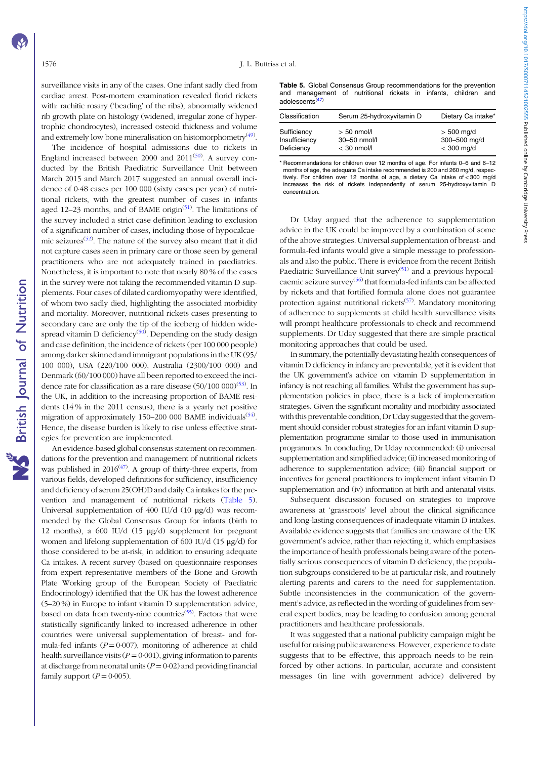surveillance visits in any of the cases. One infant sadly died from cardiac arrest. Post-mortem examination revealed florid rickets with: rachitic rosary ('beading' of the ribs), abnormally widened rib growth plate on histology (widened, irregular zone of hypertrophic chondrocytes), increased osteoid thickness and volume and extremely low bone mineralisation on histomorphometry<sup>([49\)](#page-19-0)</sup>.

The incidence of hospital admissions due to rickets in England increased between 2000 and  $2011^{(50)}$  $2011^{(50)}$  $2011^{(50)}$ . A survey conducted by the British Paediatric Surveillance Unit between March 2015 and March 2017 suggested an annual overall incidence of 0·48 cases per 100 000 (sixty cases per year) of nutritional rickets, with the greatest number of cases in infants aged 12–23 months, and of BAME origin<sup>[\(51\)](#page-19-0)</sup>. The limitations of the survey included a strict case definition leading to exclusion of a significant number of cases, including those of hypocalcae-mic seizures<sup>([52](#page-19-0))</sup>. The nature of the survey also meant that it did not capture cases seen in primary care or those seen by general practitioners who are not adequately trained in paediatrics. Nonetheless, it is important to note that nearly 80 % of the cases in the survey were not taking the recommended vitamin D supplements. Four cases of dilated cardiomyopathy were identified, of whom two sadly died, highlighting the associated morbidity and mortality. Moreover, nutritional rickets cases presenting to secondary care are only the tip of the iceberg of hidden wide-spread vitamin D deficiency<sup>([50\)](#page-19-0)</sup>. Depending on the study design and case definition, the incidence of rickets (per 100 000 people) among darker skinned and immigrant populations in the UK (95/ 100 000), USA (220/100 000), Australia (2300/100 000) and Denmark (60/100 000) have all been reported to exceed the incidence rate for classification as a rare disease  $(50/100\ 000)^{(53)}$  $(50/100\ 000)^{(53)}$  $(50/100\ 000)^{(53)}$ . In the UK, in addition to the increasing proportion of BAME residents (14 % in the 2011 census), there is a yearly net positive migration of approximately 150-200 000 BAME individuals<sup>([54\)](#page-19-0)</sup>. Hence, the disease burden is likely to rise unless effective strategies for prevention are implemented.

An evidence-based global consensus statement on recommendations for the prevention and management of nutritional rickets was published in  $2016^{(47)}$  $2016^{(47)}$  $2016^{(47)}$ . A group of thirty-three experts, from various fields, developed definitions for sufficiency, insufficiency and deficiency of serum 25(OH)D and daily Ca intakes for the prevention and management of nutritional rickets (Table 5). Universal supplementation of 400 IU/d (10 μg/d) was recommended by the Global Consensus Group for infants (birth to 12 months), a 600 IU/d (15 μg/d) supplement for pregnant women and lifelong supplementation of 600 IU/d (15 μg/d) for those considered to be at-risk, in addition to ensuring adequate Ca intakes. A recent survey (based on questionnaire responses from expert representative members of the Bone and Growth Plate Working group of the European Society of Paediatric Endocrinology) identified that the UK has the lowest adherence (5–20 %) in Europe to infant vitamin D supplementation advice, based on data from twenty-nine countries<sup>([55\)](#page-19-0)</sup>. Factors that were statistically significantly linked to increased adherence in other countries were universal supplementation of breast- and formula-fed infants ( $P = 0.007$ ), monitoring of adherence at child health surveillance visits ( $P = 0.001$ ), giving information to parents at discharge from neonatal units  $(P = 0.02)$  and providing financial family support  $(P = 0.005)$ .

Table 5. Global Consensus Group recommendations for the prevention and management of nutritional rickets in infants, children and adolescents([47](#page-19-0))

| Classification | Serum 25-hydroxyvitamin D | Dietary Ca intake* |  |  |
|----------------|---------------------------|--------------------|--|--|
| Sufficiency    | $> 50$ nmol/l             | $> 500$ mg/d       |  |  |
| Insufficiency  | 30-50 nmol/l              | 300-500 mg/d       |  |  |
| Deficiency     | $<$ 30 nmol/l             | $<$ 300 mg/d       |  |  |

\* Recommendations for children over 12 months of age. For infants 0–6 and 6–12 months of age, the adequate Ca intake recommended is 200 and 260 mg/d, respectively. For children over 12 months of age, a dietary Ca intake of < 300 mg/d increases the risk of rickets independently of serum 25-hydroxyvitamin D concentration.

Dr Uday argued that the adherence to supplementation advice in the UK could be improved by a combination of some of the above strategies. Universal supplementation of breast- and formula-fed infants would give a simple message to professionals and also the public. There is evidence from the recent British Paediatric Surveillance Unit survey<sup>([51](#page-19-0))</sup> and a previous hypocal-caemic seizure survey<sup>[\(56](#page-19-0))</sup> that formula-fed infants can be affected by rickets and that fortified formula alone does not guarantee protection against nutritional rickets<sup>[\(57\)](#page-19-0)</sup>. Mandatory monitoring of adherence to supplements at child health surveillance visits will prompt healthcare professionals to check and recommend supplements. Dr Uday suggested that there are simple practical monitoring approaches that could be used.

In summary, the potentially devastating health consequences of vitamin D deficiency in infancy are preventable, yet it is evident that the UK government's advice on vitamin D supplementation in infancy is not reaching all families. Whilst the government has supplementation policies in place, there is a lack of implementation strategies. Given the significant mortality and morbidity associated with this preventable condition, Dr Uday suggested that the government should consider robust strategies for an infant vitamin D supplementation programme similar to those used in immunisation programmes. In concluding, Dr Uday recommended: (i) universal supplementation and simplified advice; (ii) increased monitoring of adherence to supplementation advice; (iii) financial support or incentives for general practitioners to implement infant vitamin D supplementation and (iv) information at birth and antenatal visits.

Subsequent discussion focused on strategies to improve awareness at 'grassroots' level about the clinical significance and long-lasting consequences of inadequate vitamin D intakes. Available evidence suggests that families are unaware of the UK government's advice, rather than rejecting it, which emphasises the importance of health professionals being aware of the potentially serious consequences of vitamin D deficiency, the population subgroups considered to be at particular risk, and routinely alerting parents and carers to the need for supplementation. Subtle inconsistencies in the communication of the government's advice, as reflected in the wording of guidelines from several expert bodies, may be leading to confusion among general practitioners and healthcare professionals.

It was suggested that a national publicity campaign might be useful for raising public awareness. However, experience to date suggests that to be effective, this approach needs to be reinforced by other actions. In particular, accurate and consistent messages (in line with government advice) delivered by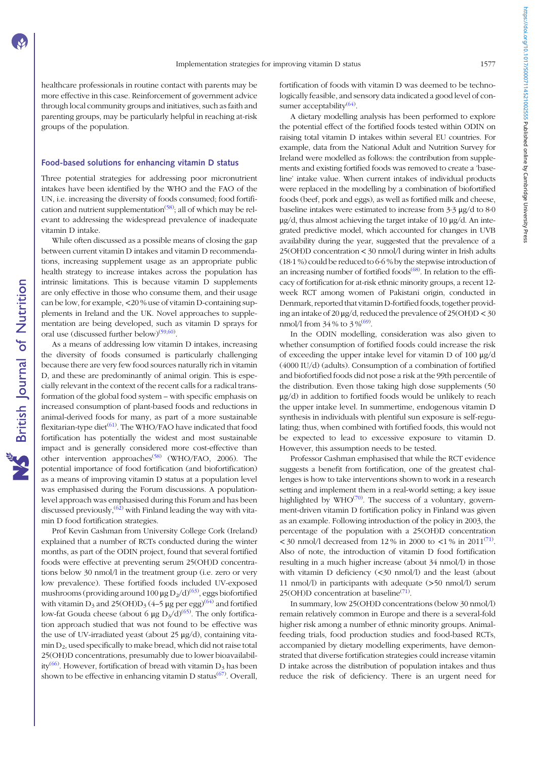healthcare professionals in routine contact with parents may be more effective in this case. Reinforcement of government advice through local community groups and initiatives, such as faith and parenting groups, may be particularly helpful in reaching at-risk groups of the population.

## Food-based solutions for enhancing vitamin D status

Three potential strategies for addressing poor micronutrient intakes have been identified by the WHO and the FAO of the UN, i.e. increasing the diversity of foods consumed; food fortification and nutrient supplementation<sup> $(58)$  $(58)$ </sup>; all of which may be relevant to addressing the widespread prevalence of inadequate vitamin D intake.

While often discussed as a possible means of closing the gap between current vitamin D intakes and vitamin D recommendations, increasing supplement usage as an appropriate public health strategy to increase intakes across the population has intrinsic limitations. This is because vitamin D supplements are only effective in those who consume them, and their usage can be low, for example, <20 % use of vitamin D-containing supplements in Ireland and the UK. Novel approaches to supplementation are being developed, such as vitamin D sprays for oral use (discussed further below)<sup>[\(59,60](#page-19-0))</sup>.

As a means of addressing low vitamin D intakes, increasing the diversity of foods consumed is particularly challenging because there are very few food sources naturally rich in vitamin D, and these are predominantly of animal origin. This is especially relevant in the context of the recent calls for a radical transformation of the global food system – with specific emphasis on increased consumption of plant-based foods and reductions in animal-derived foods for many, as part of a more sustainable flexitarian-type diet<sup>([61](#page-19-0))</sup>. The WHO/FAO have indicated that food fortification has potentially the widest and most sustainable impact and is generally considered more cost-effective than other intervention approaches<sup>([58](#page-19-0))</sup> (WHO/FAO, 2006). The potential importance of food fortification (and biofortification) as a means of improving vitamin D status at a population level was emphasised during the Forum discussions. A populationlevel approach was emphasised during this Forum and has been discussed previously,  $(62)$  with Finland leading the way with vitamin D food fortification strategies.

Prof Kevin Cashman from University College Cork (Ireland) explained that a number of RCTs conducted during the winter months, as part of the ODIN project, found that several fortified foods were effective at preventing serum 25(OH)D concentrations below 30 nmol/l in the treatment group (i.e. zero or very low prevalence). These fortified foods included UV-exposed mushrooms (providing around 100  $\mu$ g D<sub>2</sub>/d)<sup>[\(63](#page-19-0))</sup>, eggs biofortified with vitamin  $D_3$  and 25(OH) $D_3$  (4–5 µg per egg)<sup>([64\)](#page-19-0)</sup> and fortified low-fat Gouda cheese (about 6  $\mu$ g D<sub>3</sub>/d)<sup>[\(65\)](#page-19-0)</sup>. The only fortification approach studied that was not found to be effective was the use of UV-irradiated yeast (about 25 μg/d), containing vita- $\min D_2$ , used specifically to make bread, which did not raise total 25(OH)D concentrations, presumably due to lower bioavailabil-ity<sup>[\(66](#page-19-0))</sup>. However, fortification of bread with vitamin  $D_3$  has been shown to be effective in enhancing vitamin D status<sup>[\(67\)](#page-19-0)</sup>. Overall, fortification of foods with vitamin D was deemed to be technologically feasible, and sensory data indicated a good level of con-sumer acceptability<sup>([64](#page-19-0))</sup>.

A dietary modelling analysis has been performed to explore the potential effect of the fortified foods tested within ODIN on raising total vitamin D intakes within several EU countries. For example, data from the National Adult and Nutrition Survey for Ireland were modelled as follows: the contribution from supplements and existing fortified foods was removed to create a 'baseline' intake value. When current intakes of individual products were replaced in the modelling by a combination of biofortified foods (beef, pork and eggs), as well as fortified milk and cheese, baseline intakes were estimated to increase from 3·3 μg/d to 8·0 μg/d, thus almost achieving the target intake of 10 μg/d. An integrated predictive model, which accounted for changes in UVB availability during the year, suggested that the prevalence of a 25(OH)D concentration < 30 nmol/l during winter in Irish adults (18·1 %) could be reduced to 6·6 % by the stepwise introduction of an increasing number of fortified foods<sup>([68\)](#page-19-0)</sup>. In relation to the efficacy of fortification for at-risk ethnic minority groups, a recent 12 week RCT among women of Pakistani origin, conducted in Denmark, reported that vitamin D-fortified foods, together providing an intake of 20  $\mu$ g/d, reduced the prevalence of 25(OH)D < 30 nmol/l from  $34\%$  to  $3\%^{(69)}$  $3\%^{(69)}$  $3\%^{(69)}$ .

In the ODIN modelling, consideration was also given to whether consumption of fortified foods could increase the risk of exceeding the upper intake level for vitamin D of 100 μg/d (4000 IU/d) (adults). Consumption of a combination of fortified and biofortified foods did not pose a risk at the 99th percentile of the distribution. Even those taking high dose supplements (50 μg/d) in addition to fortified foods would be unlikely to reach the upper intake level. In summertime, endogenous vitamin D synthesis in individuals with plentiful sun exposure is self-regulating; thus, when combined with fortified foods, this would not be expected to lead to excessive exposure to vitamin D. However, this assumption needs to be tested.

Professor Cashman emphasised that while the RCT evidence suggests a benefit from fortification, one of the greatest challenges is how to take interventions shown to work in a research setting and implement them in a real-world setting; a key issue highlighted by  $WHO^{(70)}$  $WHO^{(70)}$  $WHO^{(70)}$ . The success of a voluntary, government-driven vitamin D fortification policy in Finland was given as an example. Following introduction of the policy in 2003, the percentage of the population with a 25(OH)D concentration <30 nmol/l decreased from 12% in 2000 to <1% in 2011<sup>([71](#page-20-0))</sup>. Also of note, the introduction of vitamin D food fortification resulting in a much higher increase (about 34 nmol/l) in those with vitamin D deficiency (<30 nmol/l) and the least (about 11 nmol/l) in participants with adequate (>50 nmol/l) serum  $25(OH)D$  concentration at baseline<sup>([71](#page-20-0))</sup>.

In summary, low 25(OH)D concentrations (below 30 nmol/l) remain relatively common in Europe and there is a several-fold higher risk among a number of ethnic minority groups. Animalfeeding trials, food production studies and food-based RCTs, accompanied by dietary modelling experiments, have demonstrated that diverse fortification strategies could increase vitamin D intake across the distribution of population intakes and thus reduce the risk of deficiency. There is an urgent need for https://doi.org/10.1017/50007114521002555 Published online by Cambridge University Press https://doi.org/10.1017/S0007114521002555 Published online by Cambridge University Press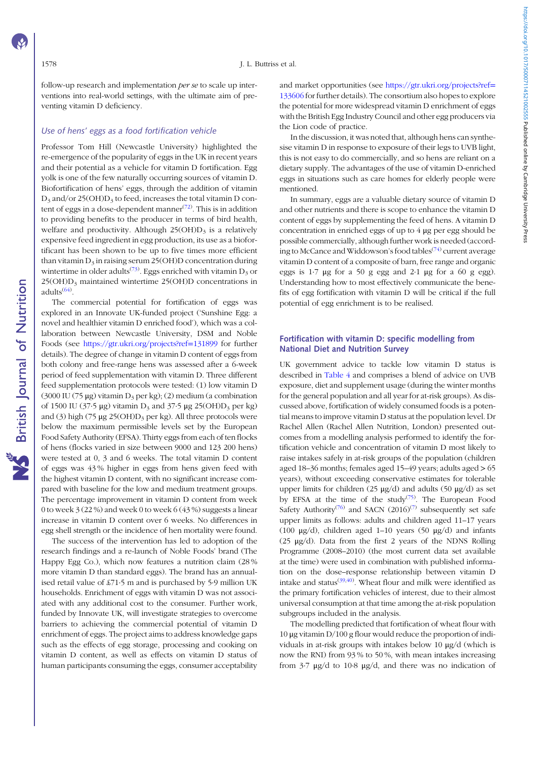the Lion code of practice.

and market opportunities (see [https://gtr.ukri.org/projects?ref](https://gtr.ukri.org/projects?ref=133606)= [133606](https://gtr.ukri.org/projects?ref=133606) for further details). The consortium also hopes to explore the potential for more widespread vitamin D enrichment of eggs with the British Egg Industry Council and other egg producers via

In the discussion, it was noted that, although hens can synthesise vitamin D in response to exposure of their legs to UVB light, this is not easy to do commercially, and so hens are reliant on a dietary supply. The advantages of the use of vitamin D-enriched eggs in situations such as care homes for elderly people were mentioned.

In summary, eggs are a valuable dietary source of vitamin D and other nutrients and there is scope to enhance the vitamin D content of eggs by supplementing the feed of hens. A vitamin D concentration in enriched eggs of up to 4 μg per egg should be possible commercially, although further work is needed (according to McCance and Widdowson's food tables<sup> $(74)$  $(74)$ </sup> current average vitamin D content of a composite of barn, free range and organic eggs is 1·7 μg for a 50 g egg and 2·1 μg for a 60 g egg). Understanding how to most effectively communicate the benefits of egg fortification with vitamin D will be critical if the full potential of egg enrichment is to be realised.

# Fortification with vitamin D: specific modelling from National Diet and Nutrition Survey

UK government advice to tackle low vitamin D status is described in [Table 4](#page-6-0) and comprises a blend of advice on UVB exposure, diet and supplement usage (during the winter months for the general population and all year for at-risk groups). As discussed above, fortification of widely consumed foods is a potential means to improve vitamin D status at the population level. Dr Rachel Allen (Rachel Allen Nutrition, London) presented outcomes from a modelling analysis performed to identify the fortification vehicle and concentration of vitamin D most likely to raise intakes safely in at-risk groups of the population (children aged 18–36 months; females aged 15–49 years; adults aged > 65 years), without exceeding conservative estimates for tolerable upper limits for children (25  $\mu$ g/d) and adults (50  $\mu$ g/d) as set by EFSA at the time of the study<sup>[\(75\)](#page-20-0)</sup>. The European Food Safety Authority<sup>[\(76](#page-20-0))</sup> and SACN (2016)<sup>([7](#page-18-0))</sup> subsequently set safe upper limits as follows: adults and children aged 11–17 years (100 μg/d), children aged 1–10 years (50 μg/d) and infants (25 μg/d). Data from the first 2 years of the NDNS Rolling Programme (2008–2010) (the most current data set available at the time) were used in combination with published information on the dose–response relationship between vitamin D intake and status $(39, 40)$ . Wheat flour and milk were identified as the primary fortification vehicles of interest, due to their almost universal consumption at that time among the at-risk population subgroups included in the analysis.

The modelling predicted that fortification of wheat flour with 10 μg vitamin D/100 g flour would reduce the proportion of individuals in at-risk groups with intakes below 10 μg/d (which is now the RNI) from 93 % to 50 %, with mean intakes increasing from 3·7 μg/d to 10·8 μg/d, and there was no indication of

follow-up research and implementation *per se* to scale up interventions into real-world settings, with the ultimate aim of preventing vitamin D deficiency.

# Use of hens' eggs as a food fortification vehicle

Professor Tom Hill (Newcastle University) highlighted the re-emergence of the popularity of eggs in the UK in recent years and their potential as a vehicle for vitamin D fortification. Egg yolk is one of the few naturally occurring sources of vitamin D. Biofortification of hens' eggs, through the addition of vitamin  $D_3$  and/or 25(OH) $D_3$  to feed, increases the total vitamin D content of eggs in a dose-dependent manner $(72)$  $(72)$  $(72)$ . This is in addition to providing benefits to the producer in terms of bird health, welfare and productivity. Although  $25(OH)D<sub>3</sub>$  is a relatively expensive feed ingredient in egg production, its use as a biofortificant has been shown to be up to five times more efficient than vitamin  $D_3$  in raising serum 25(OH)D concentration during wintertime in older adults<sup>[\(73\)](#page-20-0)</sup>. Eggs enriched with vitamin  $D_3$  or  $25(OH)D<sub>3</sub>$  maintained wintertime  $25(OH)D$  concentrations in adults<sup>([64](#page-19-0))</sup>.

The commercial potential for fortification of eggs was explored in an Innovate UK-funded project ('Sunshine Egg: a novel and healthier vitamin D enriched food'), which was a collaboration between Newcastle University, DSM and Noble Foods (see [https://gtr.ukri.org/projects?ref](https://gtr.ukri.org/projects?ref=131899)=[131899](https://gtr.ukri.org/projects?ref=131899) for further details). The degree of change in vitamin D content of eggs from both colony and free-range hens was assessed after a 6-week period of feed supplementation with vitamin D. Three different feed supplementation protocols were tested: (1) low vitamin D (3000 IU (75 µg) vitamin  $D_3$  per kg); (2) medium (a combination of 1500 IU (37.5  $\mu$ g) vitamin D<sub>3</sub> and 37.5  $\mu$ g 25(OH)D<sub>3</sub> per kg) and (3) high (75  $\mu$ g 25(OH)D<sub>3</sub> per kg). All three protocols were below the maximum permissible levels set by the European Food Safety Authority (EFSA). Thirty eggs from each of ten flocks of hens (flocks varied in size between 9000 and 123 200 hens) were tested at 0, 3 and 6 weeks. The total vitamin D content of eggs was 43 % higher in eggs from hens given feed with the highest vitamin D content, with no significant increase compared with baseline for the low and medium treatment groups. The percentage improvement in vitamin D content from week 0 to week 3 (22 %) and week 0 to week 6 (43 %) suggests a linear increase in vitamin D content over 6 weeks. No differences in egg shell strength or the incidence of hen mortality were found.

The success of the intervention has led to adoption of the research findings and a re-launch of Noble Foods' brand (The Happy Egg Co.), which now features a nutrition claim (28 % more vitamin D than standard eggs). The brand has an annualised retail value of £71·5 m and is purchased by 5·9 million UK households. Enrichment of eggs with vitamin D was not associated with any additional cost to the consumer. Further work, funded by Innovate UK, will investigate strategies to overcome barriers to achieving the commercial potential of vitamin D enrichment of eggs. The project aims to address knowledge gaps such as the effects of egg storage, processing and cooking on vitamin D content, as well as effects on vitamin D status of human participants consuming the eggs, consumer acceptability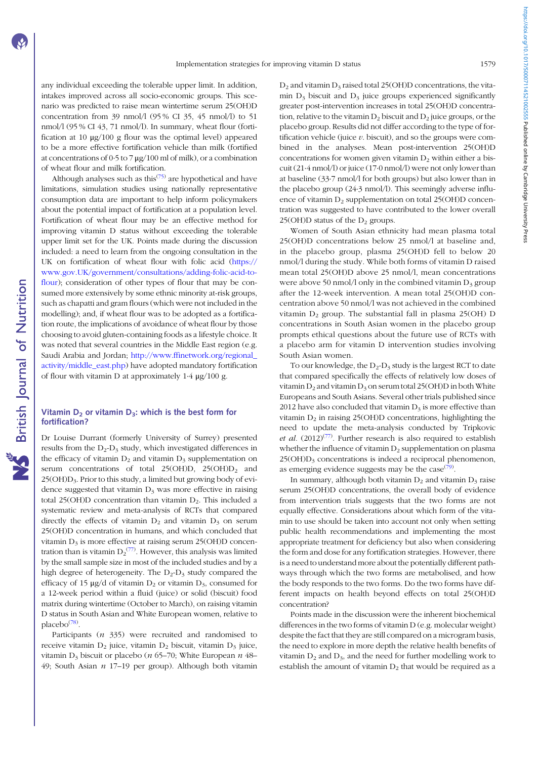any individual exceeding the tolerable upper limit. In addition, intakes improved across all socio-economic groups. This scenario was predicted to raise mean wintertime serum 25(OH)D concentration from 39 nmol/l (95 % CI 35, 45 nmol/l) to 51 nmol/l (95 % CI 43, 71 nmol/l). In summary, wheat flour (fortification at 10 μg/100 g flour was the optimal level) appeared to be a more effective fortification vehicle than milk (fortified at concentrations of  $0.5$  to  $7 \mu g/100$  ml of milk), or a combination of wheat flour and milk fortification.

Although analyses such as this<sup> $(75)$  $(75)$ </sup> are hypothetical and have limitations, simulation studies using nationally representative consumption data are important to help inform policymakers about the potential impact of fortification at a population level. Fortification of wheat flour may be an effective method for improving vitamin D status without exceeding the tolerable upper limit set for the UK. Points made during the discussion included: a need to learn from the ongoing consultation in the UK on fortification of wheat flour with folic acid [\(https://](https://www.gov.UK/government/consultations/adding-folic-acid-to-flour) [www.gov.UK/government/consultations/adding-folic-acid-to](https://www.gov.UK/government/consultations/adding-folic-acid-to-flour)[flour](https://www.gov.UK/government/consultations/adding-folic-acid-to-flour)); consideration of other types of flour that may be consumed more extensively by some ethnic minority at-risk groups, such as chapatti and gram flours (which were not included in the modelling); and, if wheat flour was to be adopted as a fortification route, the implications of avoidance of wheat flour by those choosing to avoid gluten-containing foods as a lifestyle choice. It was noted that several countries in the Middle East region (e.g. Saudi Arabia and Jordan; [http://www.ffinetwork.org/regional\\_](http://www.ffinetwork.org/regional_activity/middle_east.php) [activity/middle\\_east.php](http://www.ffinetwork.org/regional_activity/middle_east.php)) have adopted mandatory fortification of flour with vitamin D at approximately 1·4 μg/100 g.

#### Vitamin  $D_2$  or vitamin  $D_3$ : which is the best form for fortification?

Dr Louise Durrant (formerly University of Surrey) presented results from the  $D_2$ - $D_3$  study, which investigated differences in the efficacy of vitamin  $D_2$  and vitamin  $D_3$  supplementation on serum concentrations of total  $25(OH)D$ ,  $25(OH)D$ <sub>2</sub> and  $25(OH)D<sub>3</sub>$ . Prior to this study, a limited but growing body of evidence suggested that vitamin  $D_3$  was more effective in raising total 25(OH)D concentration than vitamin  $D_2$ . This included a systematic review and meta-analysis of RCTs that compared directly the effects of vitamin  $D_2$  and vitamin  $D_3$  on serum 25(OH)D concentration in humans, and which concluded that vitamin  $D_3$  is more effective at raising serum 25(OH)D concentration than is vitamin  $D_2^{(77)}$  $D_2^{(77)}$  $D_2^{(77)}$ . However, this analysis was limited by the small sample size in most of the included studies and by a high degree of heterogeneity. The  $D_2-D_3$  study compared the efficacy of 15  $\mu$ g/d of vitamin D<sub>2</sub> or vitamin D<sub>3</sub>, consumed for a 12-week period within a fluid (juice) or solid (biscuit) food matrix during wintertime (October to March), on raising vitamin D status in South Asian and White European women, relative to placebo<sup>[\(78](#page-20-0))</sup>.

Participants  $(n \frac{335}{})$  were recruited and randomised to receive vitamin  $D_2$  juice, vitamin  $D_2$  biscuit, vitamin  $D_3$  juice, vitamin D<sub>3</sub> biscuit or placebo (*n* 65–70; White European  $n$  48– 49; South Asian  $n$  17-19 per group). Although both vitamin  $D_2$  and vitamin  $D_3$  raised total 25(OH)D concentrations, the vitamin  $D_3$  biscuit and  $D_3$  juice groups experienced significantly greater post-intervention increases in total 25(OH)D concentration, relative to the vitamin  $D_2$  biscuit and  $D_2$  juice groups, or the placebo group. Results did not differ according to the type of fortification vehicle (juice  $v$ . biscuit), and so the groups were combined in the analyses. Mean post-intervention 25(OH)D concentrations for women given vitamin  $D_2$  within either a biscuit (21·4 nmol/l) or juice (17·0 nmol/l) were not only lower than at baseline (33·7 nmol/l for both groups) but also lower than in the placebo group (24·3 nmol/l). This seemingly adverse influence of vitamin  $D_2$  supplementation on total 25(OH)D concentration was suggested to have contributed to the lower overall 25(OH)D status of the  $D_2$  groups.

Women of South Asian ethnicity had mean plasma total 25(OH)D concentrations below 25 nmol/l at baseline and, in the placebo group, plasma 25(OH)D fell to below 20 nmol/l during the study. While both forms of vitamin D raised mean total 25(OH)D above 25 nmol/l, mean concentrations were above 50 nmol/l only in the combined vitamin  $D_3$  group after the 12-week intervention. A mean total 25(OH)D concentration above 50 nmol/l was not achieved in the combined vitamin  $D_2$  group. The substantial fall in plasma 25(OH) D concentrations in South Asian women in the placebo group prompts ethical questions about the future use of RCTs with a placebo arm for vitamin D intervention studies involving South Asian women.

To our knowledge, the  $D_2-D_3$  study is the largest RCT to date that compared specifically the effects of relatively low doses of vitamin  $D_2$  and vitamin  $D_3$  on serum total 25(OH)D in both White Europeans and South Asians. Several other trials published since 2012 have also concluded that vitamin  $D_3$  is more effective than vitamin  $D_2$  in raising 25(OH)D concentrations, highlighting the need to update the meta-analysis conducted by Tripkovic *et al.*  $(2012)^{(77)}$  $(2012)^{(77)}$  $(2012)^{(77)}$ . Further research is also required to establish whether the influence of vitamin  $D_2$  supplementation on plasma  $25(OH)D<sub>3</sub>$  concentrations is indeed a reciprocal phenomenon, as emerging evidence suggests may be the case $(79)$  $(79)$ .

In summary, although both vitamin  $D_2$  and vitamin  $D_3$  raise serum 25(OH)D concentrations, the overall body of evidence from intervention trials suggests that the two forms are not equally effective. Considerations about which form of the vitamin to use should be taken into account not only when setting public health recommendations and implementing the most appropriate treatment for deficiency but also when considering the form and dose for any fortification strategies. However, there is a need to understand more about the potentially different pathways through which the two forms are metabolised, and how the body responds to the two forms. Do the two forms have different impacts on health beyond effects on total 25(OH)D concentration?

Points made in the discussion were the inherent biochemical differences in the two forms of vitamin D (e.g. molecular weight) despite the fact that they are still compared on a microgram basis, the need to explore in more depth the relative health benefits of vitamin  $D_2$  and  $D_3$ , and the need for further modelling work to establish the amount of vitamin  $D_2$  that would be required as a https://doi.org/10.1017/5000711452100255555510016hed ohline by Cambridge University Press https://doi.org/10.1017/S0007114521002555 Published online by Cambridge University Press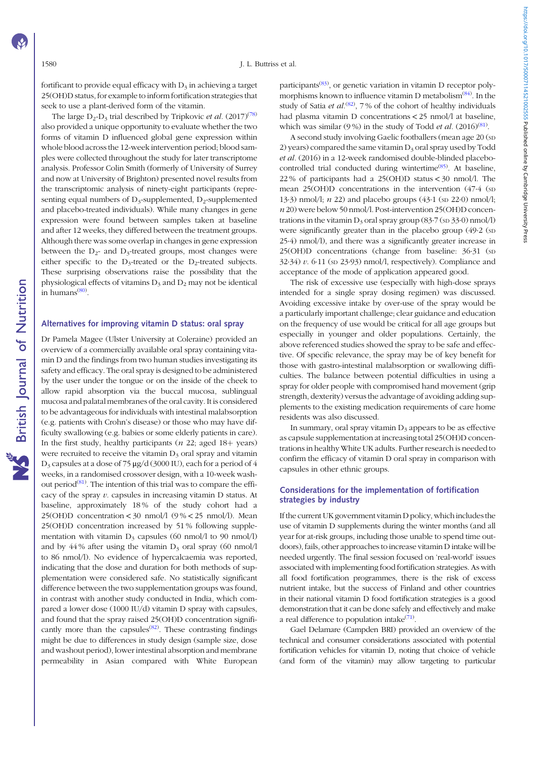fortificant to provide equal efficacy with  $D_3$  in achieving a target 25(OH)D status, for example to inform fortification strategies that seek to use a plant-derived form of the vitamin.

The large  $D_2$ - $D_3$  trial described by Tripkovic *et al.* (2017)<sup>([78](#page-20-0))</sup> also provided a unique opportunity to evaluate whether the two forms of vitamin D influenced global gene expression within whole blood across the 12-week intervention period; blood samples were collected throughout the study for later transcriptome analysis. Professor Colin Smith (formerly of University of Surrey and now at University of Brighton) presented novel results from the transcriptomic analysis of ninety-eight participants (representing equal numbers of  $D_3$ -supplemented,  $D_2$ -supplemented and placebo-treated individuals). While many changes in gene expression were found between samples taken at baseline and after 12 weeks, they differed between the treatment groups. Although there was some overlap in changes in gene expression between the  $D_{2}$ - and  $D_{3}$ -treated groups, most changes were either specific to the  $D_3$ -treated or the  $D_2$ -treated subjects. These surprising observations raise the possibility that the physiological effects of vitamins  $D_3$  and  $D_2$  may not be identical in humans<sup>([80](#page-20-0))</sup>.

# Alternatives for improving vitamin D status: oral spray

Dr Pamela Magee (Ulster University at Coleraine) provided an overview of a commercially available oral spray containing vitamin D and the findings from two human studies investigating its safety and efficacy. The oral spray is designed to be administered by the user under the tongue or on the inside of the cheek to allow rapid absorption via the buccal mucosa, sublingual mucosa and palatal membranes of the oral cavity. It is considered to be advantageous for individuals with intestinal malabsorption (e.g. patients with Crohn's disease) or those who may have difficulty swallowing (e.g. babies or some elderly patients in care). In the first study, healthy participants (*n* 22; aged  $18+$  years) were recruited to receive the vitamin  $D_3$  oral spray and vitamin D3 capsules at a dose of 75 μg/d (3000 IU), each for a period of 4 weeks, in a randomised crossover design, with a 10-week washout period $^{(81)}$  $^{(81)}$  $^{(81)}$ . The intention of this trial was to compare the efficacy of the spray  $v$ . capsules in increasing vitamin  $D$  status. At baseline, approximately 18 % of the study cohort had a 25(OH)D concentration < 30 nmol/l  $(9\% < 25 \text{ nmol/l})$ . Mean 25(OH)D concentration increased by 51 % following supplementation with vitamin  $D_3$  capsules (60 nmol/l to 90 nmol/l) and by 44% after using the vitamin  $D_3$  oral spray (60 nmol/l) to 86 nmol/l). No evidence of hypercalcaemia was reported, indicating that the dose and duration for both methods of supplementation were considered safe. No statistically significant difference between the two supplementation groups was found, in contrast with another study conducted in India, which compared a lower dose (1000 IU/d) vitamin D spray with capsules, and found that the spray raised 25(OH)D concentration significantly more than the capsules<sup> $(82)$  $(82)$ </sup>. These contrasting findings might be due to differences in study design (sample size, dose and washout period), lower intestinal absorption and membrane permeability in Asian compared with White European

participants<sup>[\(83](#page-20-0))</sup>, or genetic variation in vitamin D receptor poly-morphisms known to influence vitamin D metabolism<sup>([84](#page-20-0))</sup>. In the study of Satia et  $al^{(82)}$  $al^{(82)}$  $al^{(82)}$ , 7% of the cohort of healthy individuals had plasma vitamin D concentrations < 25 nmol/l at baseline, which was similar (9%) in the study of Todd *et al.*  $(2016)^{(81)}$  $(2016)^{(81)}$  $(2016)^{(81)}$ .

A second study involving Gaelic footballers (mean age 20 (SD 2) years) compared the same vitamin  $D_3$  oral spray used by Todd et al. (2016) in a 12-week randomised double-blinded placebo-controlled trial conducted during wintertime<sup>[\(85](#page-20-0))</sup>. At baseline, 22 % of participants had a 25(OH)D status < 30 nmol/l. The mean 25(OH)D concentrations in the intervention (47.4 (sp 13·3) nmol/l;  $n$  22) and placebo groups (43·1 (sp 22·0) nmol/l; n 20) were below 50 nmol/l. Post-intervention 25(OH)D concentrations in the vitamin  $D_3$  oral spray group (83.7 (sp 33.0) nmol/l) were significantly greater than in the placebo group (49.2 (sp) 25·4) nmol/l), and there was a significantly greater increase in 25(OH)D concentrations (change from baseline: 36·31 (SD  $32·34$ ) v. 6·11 (sp  $23·93$ ) nmol/l, respectively). Compliance and acceptance of the mode of application appeared good.

The risk of excessive use (especially with high-dose sprays intended for a single spray dosing regimen) was discussed. Avoiding excessive intake by over-use of the spray would be a particularly important challenge; clear guidance and education on the frequency of use would be critical for all age groups but especially in younger and older populations. Certainly, the above referenced studies showed the spray to be safe and effective. Of specific relevance, the spray may be of key benefit for those with gastro-intestinal malabsorption or swallowing difficulties. The balance between potential difficulties in using a spray for older people with compromised hand movement (grip strength, dexterity) versus the advantage of avoiding adding supplements to the existing medication requirements of care home residents was also discussed.

In summary, oral spray vitamin  $D_3$  appears to be as effective as capsule supplementation at increasing total 25(OH)D concentrations in healthy White UK adults. Further research is needed to confirm the efficacy of vitamin D oral spray in comparison with capsules in other ethnic groups.

# Considerations for the implementation of fortification strategies by industry

If the current UK government vitamin D policy, which includes the use of vitamin D supplements during the winter months (and all year for at-risk groups, including those unable to spend time outdoors), fails, other approaches to increase vitamin D intake will be needed urgently. The final session focused on 'real-world' issues associated with implementing food fortification strategies. As with all food fortification programmes, there is the risk of excess nutrient intake, but the success of Finland and other countries in their national vitamin D food fortification strategies is a good demonstration that it can be done safely and effectively and make a real difference to population intake<sup>[\(71](#page-20-0))</sup>.

Gael Delamare (Campden BRI) provided an overview of the technical and consumer considerations associated with potential fortification vehicles for vitamin D, noting that choice of vehicle (and form of the vitamin) may allow targeting to particular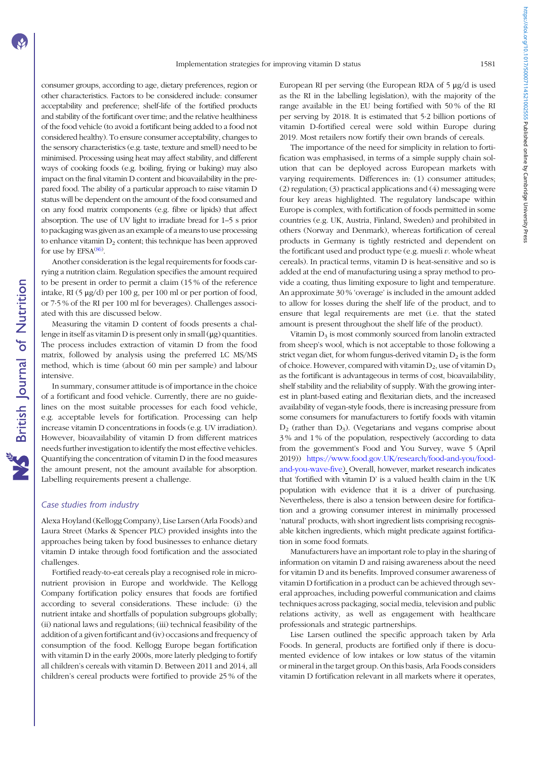consumer groups, according to age, dietary preferences, region or other characteristics. Factors to be considered include: consumer acceptability and preference; shelf-life of the fortified products and stability of the fortificant over time; and the relative healthiness of the food vehicle (to avoid a fortificant being added to a food not considered healthy). To ensure consumer acceptability, changes to the sensory characteristics (e.g. taste, texture and smell) need to be minimised. Processing using heat may affect stability, and different ways of cooking foods (e.g. boiling, frying or baking) may also impact on the final vitamin D content and bioavailability in the prepared food. The ability of a particular approach to raise vitamin D status will be dependent on the amount of the food consumed and on any food matrix components (e.g. fibre or lipids) that affect absorption. The use of UV light to irradiate bread for 1–5 s prior to packaging was given as an example of a means to use processing to enhance vitamin  $D_2$  content; this technique has been approved for use by  $EFSA^{(86)}$  $EFSA^{(86)}$  $EFSA^{(86)}$ .

Another consideration is the legal requirements for foods carrying a nutrition claim. Regulation specifies the amount required to be present in order to permit a claim (15 % of the reference intake, RI (5 μg/d) per 100 g, per 100 ml or per portion of food, or 7·5 % of the RI per 100 ml for beverages). Challenges associated with this are discussed below.

Measuring the vitamin D content of foods presents a challenge in itself as vitamin D is present only in small (μg) quantities. The process includes extraction of vitamin D from the food matrix, followed by analysis using the preferred LC MS/MS method, which is time (about 60 min per sample) and labour intensive.

In summary, consumer attitude is of importance in the choice of a fortificant and food vehicle. Currently, there are no guidelines on the most suitable processes for each food vehicle, e.g. acceptable levels for fortification. Processing can help increase vitamin D concentrations in foods (e.g. UV irradiation). However, bioavailability of vitamin D from different matrices needs further investigation to identify the most effective vehicles. Quantifying the concentration of vitamin D in the food measures the amount present, not the amount available for absorption. Labelling requirements present a challenge.

#### Case studies from industry

Alexa Hoyland (Kellogg Company), Lise Larsen (Arla Foods) and Laura Street (Marks & Spencer PLC) provided insights into the approaches being taken by food businesses to enhance dietary vitamin D intake through food fortification and the associated challenges.

Fortified ready-to-eat cereals play a recognised role in micronutrient provision in Europe and worldwide. The Kellogg Company fortification policy ensures that foods are fortified according to several considerations. These include: (i) the nutrient intake and shortfalls of population subgroups globally; (ii) national laws and regulations; (iii) technical feasibility of the addition of a given fortificant and (iv) occasions and frequency of consumption of the food. Kellogg Europe began fortification with vitamin D in the early 2000s, more laterly pledging to fortify all children's cereals with vitamin D. Between 2011 and 2014, all children's cereal products were fortified to provide 25 % of the European RI per serving (the European RDA of 5 μg/d is used as the RI in the labelling legislation), with the majority of the range available in the EU being fortified with 50 % of the RI per serving by 2018. It is estimated that 5·2 billion portions of vitamin D-fortified cereal were sold within Europe during 2019. Most retailers now fortify their own brands of cereals.

The importance of the need for simplicity in relation to fortification was emphasised, in terms of a simple supply chain solution that can be deployed across European markets with varying requirements. Differences in: (1) consumer attitudes; (2) regulation; (3) practical applications and (4) messaging were four key areas highlighted. The regulatory landscape within Europe is complex, with fortification of foods permitted in some countries (e.g. UK, Austria, Finland, Sweden) and prohibited in others (Norway and Denmark), whereas fortification of cereal products in Germany is tightly restricted and dependent on the fortificant used and product type (e.g. muesli  $v$ . whole wheat cereals). In practical terms, vitamin D is heat-sensitive and so is added at the end of manufacturing using a spray method to provide a coating, thus limiting exposure to light and temperature. An approximate 30 % 'overage' is included in the amount added to allow for losses during the shelf life of the product, and to ensure that legal requirements are met (i.e. that the stated amount is present throughout the shelf life of the product).

Vitamin  $D_3$  is most commonly sourced from lanolin extracted from sheep's wool, which is not acceptable to those following a strict vegan diet, for whom fungus-derived vitamin  $D_2$  is the form of choice. However, compared with vitamin  $D_2$ , use of vitamin  $D_3$ as the fortificant is advantageous in terms of cost, bioavailability, shelf stability and the reliability of supply. With the growing interest in plant-based eating and flexitarian diets, and the increased availability of vegan-style foods, there is increasing pressure from some consumers for manufacturers to fortify foods with vitamin  $D_2$  (rather than  $D_3$ ). (Vegetarians and vegans comprise about 3 % and 1 % of the population, respectively (according to data from the government's Food and You Survey, wave 5 (April 2019)) [https://www.food.gov.UK/research/food-and-you/food](https://www.food.gov.UK/research/food-and-you/food-and-you-wave-five)[and-you-wave-five\)](https://www.food.gov.UK/research/food-and-you/food-and-you-wave-five). Overall, however, market research indicates that 'fortified with vitamin D' is a valued health claim in the UK population with evidence that it is a driver of purchasing. Nevertheless, there is also a tension between desire for fortification and a growing consumer interest in minimally processed 'natural' products, with short ingredient lists comprising recognisable kitchen ingredients, which might predicate against fortification in some food formats.

Manufacturers have an important role to play in the sharing of information on vitamin D and raising awareness about the need for vitamin D and its benefits. Improved consumer awareness of vitamin D fortification in a product can be achieved through several approaches, including powerful communication and claims techniques across packaging, social media, television and public relations activity, as well as engagement with healthcare professionals and strategic partnerships.

Lise Larsen outlined the specific approach taken by Arla Foods. In general, products are fortified only if there is documented evidence of low intakes or low status of the vitamin or mineral in the target group. On this basis, Arla Foods considers vitamin D fortification relevant in all markets where it operates,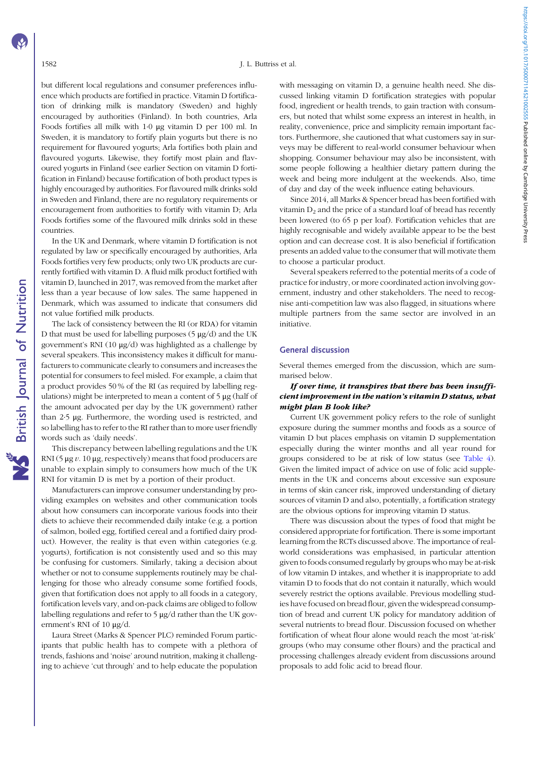#### 1582 J. L. Buttriss et al.

but different local regulations and consumer preferences influence which products are fortified in practice. Vitamin D fortification of drinking milk is mandatory (Sweden) and highly encouraged by authorities (Finland). In both countries, Arla Foods fortifies all milk with 1·0 μg vitamin D per 100 ml. In Sweden, it is mandatory to fortify plain yogurts but there is no requirement for flavoured yogurts; Arla fortifies both plain and flavoured yogurts. Likewise, they fortify most plain and flavoured yogurts in Finland (see earlier Section on vitamin D fortification in Finland) because fortification of both product types is highly encouraged by authorities. For flavoured milk drinks sold in Sweden and Finland, there are no regulatory requirements or encouragement from authorities to fortify with vitamin D; Arla Foods fortifies some of the flavoured milk drinks sold in these countries.

In the UK and Denmark, where vitamin D fortification is not regulated by law or specifically encouraged by authorities, Arla Foods fortifies very few products; only two UK products are currently fortified with vitamin D. A fluid milk product fortified with vitamin D, launched in 2017, was removed from the market after less than a year because of low sales. The same happened in Denmark, which was assumed to indicate that consumers did not value fortified milk products.

The lack of consistency between the RI (or RDA) for vitamin D that must be used for labelling purposes  $(5 \mu g/d)$  and the UK government's RNI (10 μg/d) was highlighted as a challenge by several speakers. This inconsistency makes it difficult for manufacturers to communicate clearly to consumers and increases the potential for consumers to feel misled. For example, a claim that a product provides 50 % of the RI (as required by labelling regulations) might be interpreted to mean a content of 5 μg (half of the amount advocated per day by the UK government) rather than 2·5 μg. Furthermore, the wording used is restricted, and so labelling has to refer to the RI rather than to more user friendly words such as 'daily needs'.

This discrepancy between labelling regulations and the UK RNI (5  $\mu$ g  $\nu$ . 10  $\mu$ g, respectively) means that food producers are unable to explain simply to consumers how much of the UK RNI for vitamin D is met by a portion of their product.

Manufacturers can improve consumer understanding by providing examples on websites and other communication tools about how consumers can incorporate various foods into their diets to achieve their recommended daily intake (e.g. a portion of salmon, boiled egg, fortified cereal and a fortified dairy product). However, the reality is that even within categories (e.g. yogurts), fortification is not consistently used and so this may be confusing for customers. Similarly, taking a decision about whether or not to consume supplements routinely may be challenging for those who already consume some fortified foods, given that fortification does not apply to all foods in a category, fortification levels vary, and on-pack claims are obliged to follow labelling regulations and refer to 5 μg/d rather than the UK government's RNI of 10 μg/d.

Laura Street (Marks & Spencer PLC) reminded Forum participants that public health has to compete with a plethora of trends, fashions and 'noise' around nutrition, making it challenging to achieve 'cut through' and to help educate the population with messaging on vitamin D, a genuine health need. She discussed linking vitamin D fortification strategies with popular food, ingredient or health trends, to gain traction with consumers, but noted that whilst some express an interest in health, in reality, convenience, price and simplicity remain important factors. Furthermore, she cautioned that what customers say in surveys may be different to real-world consumer behaviour when shopping. Consumer behaviour may also be inconsistent, with some people following a healthier dietary pattern during the week and being more indulgent at the weekends. Also, time of day and day of the week influence eating behaviours.

Since 2014, all Marks & Spencer bread has been fortified with vitamin  $D_2$  and the price of a standard loaf of bread has recently been lowered (to 65 p per loaf). Fortification vehicles that are highly recognisable and widely available appear to be the best option and can decrease cost. It is also beneficial if fortification presents an added value to the consumer that will motivate them to choose a particular product.

Several speakers referred to the potential merits of a code of practice for industry, or more coordinated action involving government, industry and other stakeholders. The need to recognise anti-competition law was also flagged, in situations where multiple partners from the same sector are involved in an initiative.

### General discussion

Several themes emerged from the discussion, which are summarised below.

# If over time, it transpires that there has been insufficient improvement in the nation's vitamin D status, what might plan B look like?

Current UK government policy refers to the role of sunlight exposure during the summer months and foods as a source of vitamin D but places emphasis on vitamin D supplementation especially during the winter months and all year round for groups considered to be at risk of low status (see [Table 4](#page-6-0)). Given the limited impact of advice on use of folic acid supplements in the UK and concerns about excessive sun exposure in terms of skin cancer risk, improved understanding of dietary sources of vitamin D and also, potentially, a fortification strategy are the obvious options for improving vitamin D status.

There was discussion about the types of food that might be considered appropriate for fortification. There is some important learning from the RCTs discussed above. The importance of realworld considerations was emphasised, in particular attention given to foods consumed regularly by groups who may be at-risk of low vitamin D intakes, and whether it is inappropriate to add vitamin D to foods that do not contain it naturally, which would severely restrict the options available. Previous modelling studies have focused on bread flour, given the widespread consumption of bread and current UK policy for mandatory addition of several nutrients to bread flour. Discussion focused on whether fortification of wheat flour alone would reach the most 'at-risk' groups (who may consume other flours) and the practical and processing challenges already evident from discussions around proposals to add folic acid to bread flour.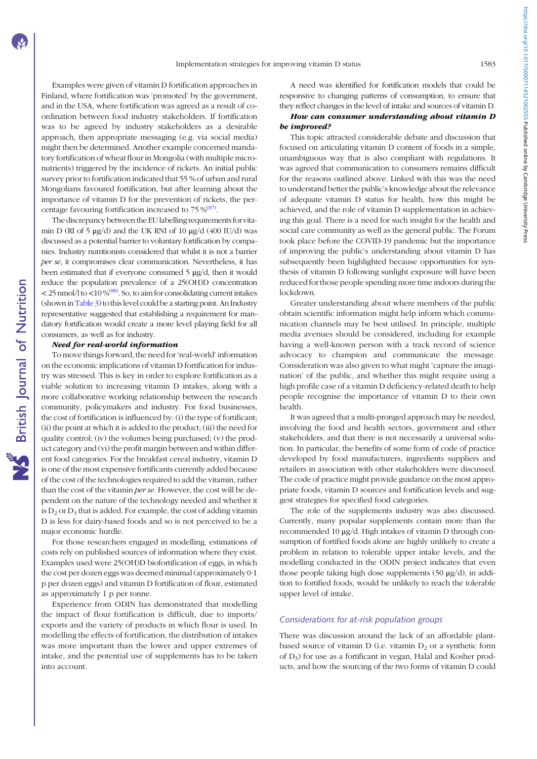Examples were given of vitamin D fortification approaches in Finland, where fortification was 'promoted' by the government, and in the USA, where fortification was agreed as a result of coordination between food industry stakeholders. If fortification was to be agreed by industry stakeholders as a desirable approach, then appropriate messaging (e.g. via social media) might then be determined. Another example concerned mandatory fortification of wheat flour in Mongolia (with multiple micronutrients) triggered by the incidence of rickets. An initial public survey prior to fortification indicated that 55 % of urban and rural Mongolians favoured fortification, but after learning about the importance of vitamin D for the prevention of rickets, the per-centage favouring fortification increased to 75 %<sup>[\(87\)](#page-20-0)</sup>.

The discrepancy between the EU labelling requirements for vitamin D (RI of 5  $\mu$ g/d) and the UK RNI of 10  $\mu$ g/d (400 IU/d) was discussed as a potential barrier to voluntary fortification by companies. Industry nutritionists considered that whilst it is not a barrier per se, it compromises clear communication. Nevertheless, it has been estimated that if everyone consumed 5 μg/d, then it would reduce the population prevalence of a 25(OH)D concentration  $<$  25 nmol/l to  $<$  10 %<sup>[\(88](#page-20-0))</sup>. So, to aim for consolidating current intakes (shown in [Table 3](#page-4-0)) to this level could be a starting point. An Industry representative suggested that establishing a requirement for mandatory fortification would create a more level playing field for all consumers, as well as for industry.

#### Need for real-world information

To move things forward, the need for 'real-world' information on the economic implications of vitamin D fortification for industry was stressed. This is key in order to explore fortification as a viable solution to increasing vitamin D intakes, along with a more collaborative working relationship between the research community, policymakers and industry. For food businesses, the cost of fortification is influenced by: (i) the type of fortificant; (ii) the point at which it is added to the product; (iii) the need for quality control; (iv) the volumes being purchased; (v) the product category and (vi) the profit margin between and within different food categories. For the breakfast cereal industry, vitamin D is one of the most expensive fortificants currently added because of the cost of the technologies required to add the vitamin, rather than the cost of the vitamin per se. However, the cost will be dependent on the nature of the technology needed and whether it is  $D_2$  or  $D_3$  that is added. For example, the cost of adding vitamin D is less for dairy-based foods and so is not perceived to be a major economic hurdle.

For those researchers engaged in modelling, estimations of costs rely on published sources of information where they exist. Examples used were 25(OH)D biofortification of eggs, in which the cost per dozen eggs was deemed minimal (approximately 0·1 p per dozen eggs) and vitamin D fortification of flour, estimated as approximately 1 p per tonne.

Experience from ODIN has demonstrated that modelling the impact of flour fortification is difficult, due to imports/ exports and the variety of products in which flour is used. In modelling the effects of fortification, the distribution of intakes was more important than the lower and upper extremes of intake, and the potential use of supplements has to be taken into account.

A need was identified for fortification models that could be responsive to changing patterns of consumption, to ensure that they reflect changes in the level of intake and sources of vitamin D.

# How can consumer understanding about vitamin D be improved?

This topic attracted considerable debate and discussion that focused on articulating vitamin D content of foods in a simple, unambiguous way that is also compliant with regulations. It was agreed that communication to consumers remains difficult for the reasons outlined above. Linked with this was the need to understand better the public's knowledge about the relevance of adequate vitamin D status for health, how this might be achieved, and the role of vitamin D supplementation in achieving this goal. There is a need for such insight for the health and social care community as well as the general public. The Forum took place before the COVID-19 pandemic but the importance of improving the public's understanding about vitamin D has subsequently been highlighted because opportunities for synthesis of vitamin D following sunlight exposure will have been reduced for those people spending more time indoors during the lockdown.

Greater understanding about where members of the public obtain scientific information might help inform which communication channels may be best utilised. In principle, multiple media avenues should be considered, including for example having a well-known person with a track record of science advocacy to champion and communicate the message. Consideration was also given to what might 'capture the imagination' of the public, and whether this might require using a high profile case of a vitamin D deficiency-related death to help people recognise the importance of vitamin D to their own health.

It was agreed that a multi-pronged approach may be needed, involving the food and health sectors, government and other stakeholders, and that there is not necessarily a universal solution. In particular, the benefits of some form of code of practice developed by food manufacturers, ingredients suppliers and retailers in association with other stakeholders were discussed. The code of practice might provide guidance on the most appropriate foods, vitamin D sources and fortification levels and suggest strategies for specified food categories.

The role of the supplements industry was also discussed. Currently, many popular supplements contain more than the recommended 10 μg/d. High intakes of vitamin D through consumption of fortified foods alone are highly unlikely to create a problem in relation to tolerable upper intake levels, and the modelling conducted in the ODIN project indicates that even those people taking high dose supplements (50 μg/d), in addition to fortified foods, would be unlikely to reach the tolerable upper level of intake.

# Considerations for at-risk population groups

There was discussion around the lack of an affordable plantbased source of vitamin  $D$  (i.e. vitamin  $D_2$  or a synthetic form of D3) for use as a fortificant in vegan, Halal and Kosher products, and how the sourcing of the two forms of vitamin D could https://doi.org/10.1017/50007114521002555 Published online by Cambridge University Press https://doi.org/10.1017/S0007114521002555 Published online by Cambridge University Press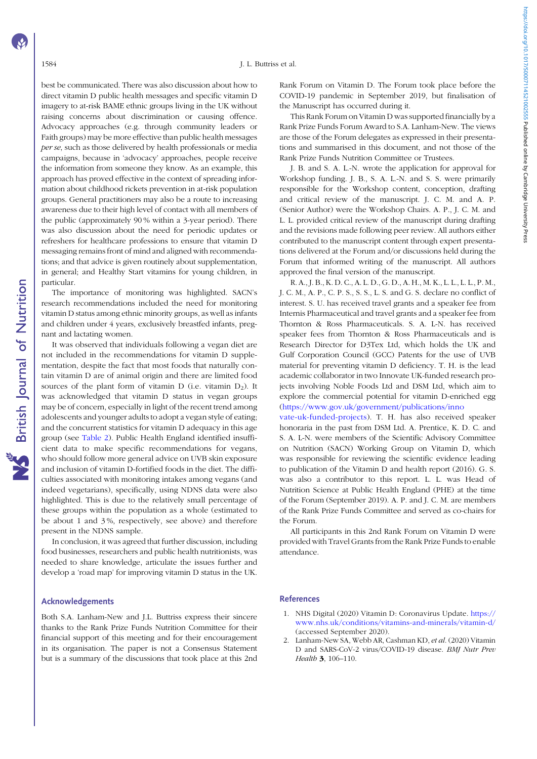<span id="page-17-0"></span>best be communicated. There was also discussion about how to direct vitamin D public health messages and specific vitamin D imagery to at-risk BAME ethnic groups living in the UK without raising concerns about discrimination or causing offence. Advocacy approaches (e.g. through community leaders or Faith groups) may be more effective than public health messages per se, such as those delivered by health professionals or media campaigns, because in 'advocacy' approaches, people receive the information from someone they know. As an example, this approach has proved effective in the context of spreading information about childhood rickets prevention in at-risk population groups. General practitioners may also be a route to increasing awareness due to their high level of contact with all members of the public (approximately 90 % within a 3-year period). There was also discussion about the need for periodic updates or refreshers for healthcare professions to ensure that vitamin D messaging remains front of mind and aligned with recommendations; and that advice is given routinely about supplementation, in general; and Healthy Start vitamins for young children, in particular.

The importance of monitoring was highlighted. SACN's research recommendations included the need for monitoring vitamin D status among ethnic minority groups, as well as infants and children under 4 years, exclusively breastfed infants, pregnant and lactating women.

It was observed that individuals following a vegan diet are not included in the recommendations for vitamin D supplementation, despite the fact that most foods that naturally contain vitamin D are of animal origin and there are limited food sources of the plant form of vitamin  $D$  (i.e. vitamin  $D_2$ ). It was acknowledged that vitamin D status in vegan groups may be of concern, especially in light of the recent trend among adolescents and younger adults to adopt a vegan style of eating; and the concurrent statistics for vitamin D adequacy in this age group (see [Table 2](#page-4-0)). Public Health England identified insufficient data to make specific recommendations for vegans, who should follow more general advice on UVB skin exposure and inclusion of vitamin D-fortified foods in the diet. The difficulties associated with monitoring intakes among vegans (and indeed vegetarians), specifically, using NDNS data were also highlighted. This is due to the relatively small percentage of these groups within the population as a whole (estimated to be about 1 and 3 %, respectively, see above) and therefore present in the NDNS sample.

In conclusion, it was agreed that further discussion, including food businesses, researchers and public health nutritionists, was needed to share knowledge, articulate the issues further and develop a 'road map' for improving vitamin D status in the UK.

#### Acknowledgements

Both S.A. Lanham-New and J.L. Buttriss express their sincere thanks to the Rank Prize Funds Nutrition Committee for their financial support of this meeting and for their encouragement in its organisation. The paper is not a Consensus Statement but is a summary of the discussions that took place at this 2nd Rank Forum on Vitamin D. The Forum took place before the COVID-19 pandemic in September 2019, but finalisation of the Manuscript has occurred during it.

This Rank Forum on Vitamin D was supported financially by a Rank Prize Funds Forum Award to S.A. Lanham-New. The views are those of the Forum delegates as expressed in their presentations and summarised in this document, and not those of the Rank Prize Funds Nutrition Committee or Trustees.

J. B. and S. A. L.-N. wrote the application for approval for Workshop funding. J. B., S. A. L.-N. and S. S. were primarily responsible for the Workshop content, conception, drafting and critical review of the manuscript. J. C. M. and A. P. (Senior Author) were the Workshop Chairs. A. P., J. C. M. and L. L. provided critical review of the manuscript during drafting and the revisions made following peer review. All authors either contributed to the manuscript content through expert presentations delivered at the Forum and/or discussions held during the Forum that informed writing of the manuscript. All authors approved the final version of the manuscript.

R. A., J. B., K. D. C., A. L. D., G. D., A. H., M. K., L. L., L. L., P. M., J. C. M., A. P., C. P. S., S. S., L. S. and G. S. declare no conflict of interest. S. U. has received travel grants and a speaker fee from Internis Pharmaceutical and travel grants and a speaker fee from Thornton & Ross Pharmaceuticals. S. A. L-N. has received speaker fees from Thornton & Ross Pharmaceuticals and is Research Director for D3Tex Ltd, which holds the UK and Gulf Corporation Council (GCC) Patents for the use of UVB material for preventing vitamin D deficiency. T. H. is the lead academic collaborator in two Innovate UK-funded research projects involving Noble Foods Ltd and DSM Ltd, which aim to explore the commercial potential for vitamin D-enriched egg [\(https://www.gov.uk/government/publications/inno](https://www.gov.uk/government/publications/innovate-uk-funded-projects)

[vate-uk-funded-projects\)](https://www.gov.uk/government/publications/innovate-uk-funded-projects). T. H. has also received speaker honoraria in the past from DSM Ltd. A. Prentice, K. D. C. and S. A. L-N. were members of the Scientific Advisory Committee on Nutrition (SACN) Working Group on Vitamin D, which was responsible for reviewing the scientific evidence leading to publication of the Vitamin D and health report (2016). G. S. was also a contributor to this report. L. L. was Head of Nutrition Science at Public Health England (PHE) at the time of the Forum (September 2019). A. P. and J. C. M. are members of the Rank Prize Funds Committee and served as co-chairs for the Forum.

All participants in this 2nd Rank Forum on Vitamin D were provided with Travel Grants from the Rank Prize Funds to enable attendance.

# References

- 1. NHS Digital (2020) Vitamin D: Coronavirus Update. [https://](https://www.nhs.uk/conditions/vitamins-and-minerals/vitamin-d/) [www.nhs.uk/conditions/vitamins-and-minerals/vitamin-d/](https://www.nhs.uk/conditions/vitamins-and-minerals/vitamin-d/) (accessed September 2020).
- 2. Lanham-New SA, Webb AR, Cashman KD, et al. (2020) Vitamin D and SARS-CoV-2 virus/COVID-19 disease. BMJ Nutr Prev Health 3, 106–110.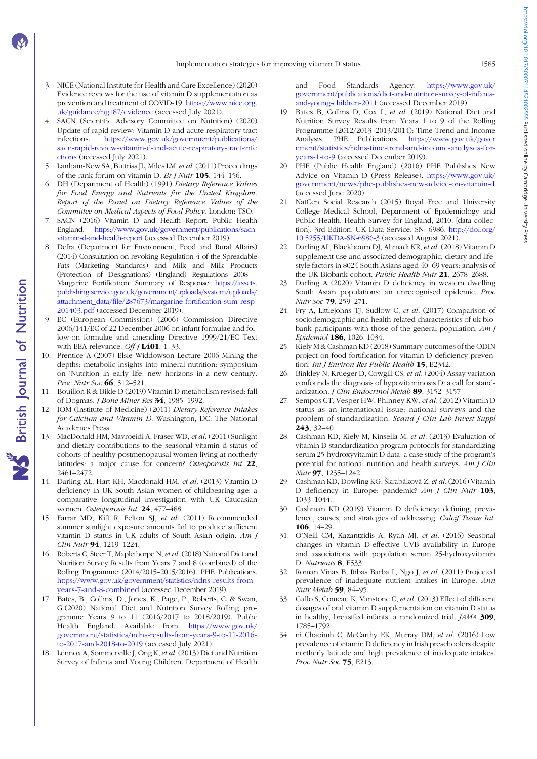- <span id="page-18-0"></span>3. NICE (National Institute for Health and Care Excellence) (2020) Evidence reviews for the use of vitamin D supplementation as prevention and treatment of COVID-19. [https://www.nice.org.](https://www.nice.org.uk/guidance/ng187/evidence) [uk/guidance/ng187/evidence](https://www.nice.org.uk/guidance/ng187/evidence) (accessed July 2021).
- 4. SACN (Scientific Advisory Committee on Nutrition) (2020) Update of rapid review: Vitamin D and acute respiratory tract infections. [https://www.gov.uk/government/publications/](https://www.gov.uk/government/publications/sacn-rapid-review-vitamin-d-and-acute-respiratory-tract-infections) [sacn-rapid-review-vitamin-d-and-acute-respiratory-tract-infe](https://www.gov.uk/government/publications/sacn-rapid-review-vitamin-d-and-acute-respiratory-tract-infections) [ctions](https://www.gov.uk/government/publications/sacn-rapid-review-vitamin-d-and-acute-respiratory-tract-infections) (accessed July 2021).
- 5. Lanham-New SA, Buttriss JL, Miles LM, et al.(2011) Proceedings of the rank forum on vitamin D. Br J Nutr  $105$ , 144–156.
- 6. DH (Department of Health) (1991) Dietary Reference Values for Food Energy and Nutrients for the United Kingdom. Report of the Panel on Dietary Reference Values of the Committee on Medical Aspects of Food Policy. London: TSO.
- 7. SACN (2016) Vitamin D and Health Report. Public Health England. [https://www.gov.uk/government/publications/sacn](https://www.gov.uk/government/publications/sacn-vitamin-d-and-health-report)[vitamin-d-and-health-report](https://www.gov.uk/government/publications/sacn-vitamin-d-and-health-report) (accessed December 2019).
- Defra (Department for Environment, Food and Rural Affairs) (2014) Consultation on revoking Regulation 4 of the Spreadable Fats (Marketing Standards) and Milk and Milk Products (Protection of Designations) (England) Regulations 2008 – Margarine Fortification: Summary of Response. [https://assets.](https://assets.publishing.service.gov.uk/government/uploads/system/uploads/attachment_data/file/287673/margarine-fortification-sum-resp-201403.pdf) [publishing.service.gov.uk/government/uploads/system/uploads/](https://assets.publishing.service.gov.uk/government/uploads/system/uploads/attachment_data/file/287673/margarine-fortification-sum-resp-201403.pdf) [attachment\\_data/file/287673/margarine-fortification-sum-resp-](https://assets.publishing.service.gov.uk/government/uploads/system/uploads/attachment_data/file/287673/margarine-fortification-sum-resp-201403.pdf)[201403.pdf](https://assets.publishing.service.gov.uk/government/uploads/system/uploads/attachment_data/file/287673/margarine-fortification-sum-resp-201403.pdf) (accessed December 2019).
- 9. EC (European Commission) (2006) Commission Directive 2006/141/EC of 22 December 2006 on infant formulae and follow-on formulae and amending Directive 1999/21/EC Text with EEA relevance. Off  $J$  L401, 1-33.
- 10. Prentice A (2007) Elsie Widdowson Lecture 2006 Mining the depths: metabolic insights into mineral nutrition: symposium on 'Nutrition in early life: new horizons in a new century. Proc Nutr Soc 66, 512–521.
- 11. Bouillon R & Bikle D (2019) Vitamin D metabolism revised: fall of Dogmas. *J Bone Miner Res* 34, 1985-1992.
- 12. IOM (Institute of Medicine) (2011) Dietary Reference Intakes for Calcium and Vitamin D. Washington, DC: The National Academes Press.
- 13. MacDonald HM, Mavroeidi A, Fraser WD, et al. (2011) Sunlight and dietary contributions to the seasonal vitamin d status of cohorts of healthy postmenopausal women living at northerly latitudes: a major cause for concern? Osteoporosis Int 22, 2461–2472.
- 14. Darling AL, Hart KH, Macdonald HM, et al. (2013) Vitamin D deficiency in UK South Asian women of childbearing age: a comparative longitudinal investigation with UK Caucasian women. Osteoporosis Int. 24, 477–488.
- 15. Farrar MD, Kift R, Felton SJ, et al. (2011) Recommended summer sunlight exposure amounts fail to produce sufficient vitamin D status in UK adults of South Asian origin. Am J Clin Nutr 94, 1219-1224.
- 16. Roberts C, Steer T, Maplethorpe N, et al. (2018) National Diet and Nutrition Survey Results from Years 7 and 8 (combined) of the Rolling Programme (2014/2015–2015/2016). PHE Publications. [https://www.gov.uk/government/statistics/ndns-results-from](https://www.gov.uk/government/statistics/ndns-results-from-years-7-and-8-combined)[years-7-and-8-combined](https://www.gov.uk/government/statistics/ndns-results-from-years-7-and-8-combined) (accessed December 2019).
- 17. Bates, B., Collins, D., Jones, K., Page, P., Roberts, C. & Swan, G.(2020) National Diet and Nutrition Survey Rolling programme Years 9 to 11 (2016/2017 to 2018/2019). Public Health England. Available from: [https://www.gov.uk/](https://www.gov.uk/government/statistics/ndns-results-from-years-9-to-11-2016-to-2017-and-2018-to-2019) [government/statistics/ndns-results-from-years-9-to-11-2016](https://www.gov.uk/government/statistics/ndns-results-from-years-9-to-11-2016-to-2017-and-2018-to-2019) [to-2017-and-2018-to-2019](https://www.gov.uk/government/statistics/ndns-results-from-years-9-to-11-2016-to-2017-and-2018-to-2019) (accessed July 2021).
- 18. Lennox A, Sommerville J, Ong K, et al.(2013) Diet and Nutrition Survey of Infants and Young Children. Department of Health

and Food Standards Agency. [https://www.gov.uk/](https://www.gov.uk/government/publications/diet-and-nutrition-survey-of-infants-and-young-children-2011) [government/publications/diet-and-nutrition-survey-of-infants](https://www.gov.uk/government/publications/diet-and-nutrition-survey-of-infants-and-young-children-2011)[and-young-children-2011](https://www.gov.uk/government/publications/diet-and-nutrition-survey-of-infants-and-young-children-2011) (accessed December 2019).

- 19. Bates B, Collins D, Cox L, et al. (2019) National Diet and Nutrition Survey Results from Years 1 to 9 of the Rolling Programme (2012/2013–2013/2014): Time Trend and Income Analysis. PHE Publications. [https://www.gov.uk/gover](https://www.gov.uk/government/statistics/ndns-time-trend-and-income-analyses-for-years-1-to-9) [nment/statistics/ndns-time-trend-and-income-analyses-for](https://www.gov.uk/government/statistics/ndns-time-trend-and-income-analyses-for-years-1-to-9)[years-1-to-9](https://www.gov.uk/government/statistics/ndns-time-trend-and-income-analyses-for-years-1-to-9) (accessed December 2019).
- 20. PHE (Public Health England) (2016) PHE Publishes New Advice on Vitamin D (Press Release). [https://www.gov.uk/](https://www.gov.uk/government/news/phe-publishes-new-advice-on-vitamin-d) [government/news/phe-publishes-new-advice-on-vitamin-d](https://www.gov.uk/government/news/phe-publishes-new-advice-on-vitamin-d) (accessed June 2020).
- 21. NatCen Social Research (2015) Royal Free and University College Medical School, Department of Epidemiology and Public Health. Health Survey for England, 2010. [data collection]. 3rd Edition. UK Data Service. SN: 6986. [http://doi.org/](http://doi.org/10.5255/UKDA-SN-6986-3) [10.5255/UKDA-SN-6986-3](http://doi.org/10.5255/UKDA-SN-6986-3) (accessed August 2021).
- 22. Darling AL, Blackbourn DJ, Ahmadi KR, et al. (2018) Vitamin D supplement use and associated demographic, dietary and lifestyle factors in 8024 South Asians aged 40–69 years: analysis of the UK Biobank cohort. Public Health Nutr 21, 2678-2688.
- 23. Darling A (2020) Vitamin D deficiency in western dwelling South Asian populations: an unrecognised epidemic. Proc Nutr Soc 79, 259–271.
- 24. Fry A, Littlejohns TJ, Sudlow C, et al. (2017) Comparison of sociodemographic and health-related characteristics of uk biobank participants with those of the general population.  $Am J$ Epidemiol 186, 1026–1034.
- 25. Kiely M & Cashman KD (2018) Summary outcomes of the ODIN project on food fortification for vitamin D deficiency prevention. Int J Environ Res Public Health 15, E2342.
- 26. Binkley N, Krueger D, Cowgill CS, et al. (2004) Assay variation confounds the diagnosis of hypovitaminosis D: a call for standardization. J Clin Endocrinol Metab 89, 3152-3157
- 27. Sempos CT, Vesper HW, Phinney KW, et al. (2012) Vitamin D status as an international issue: national surveys and the problem of standardization. Scand J Clin Lab Invest Suppl 243, 32–40
- 28. Cashman KD, Kiely M, Kinsella M, et al. (2013) Evaluation of vitamin D standardization program protocols for standardizing serum 25-hydroxyvitamin D data: a case study of the program's potential for national nutrition and health surveys. Am J Clin Nutr 97, 1235–1242.
- 29. Cashman KD, Dowling KG, Škrabáková Z, et al. (2016) Vitamin D deficiency in Europe: pandemic? Am J Clin Nutr 103, 1033–1044.
- 30. Cashman KD (2019) Vitamin D deficiency: defining, prevalence, causes, and strategies of addressing. Calcif Tissue Int. 106, 14–29.
- 31. O'Neill CM, Kazantzidis A, Ryan MJ, et al. (2016) Seasonal changes in vitamin D-effective UVB availability in Europe and associations with population serum 25-hydroxyvitamin D. Nutrients 8, E533.
- 32. Roman Vinas B, Ribas Barba L, Ngo J, et al. (2011) Projected prevalence of inadequate nutrient intakes in Europe. Ann Nutr Metab 59, 84–95.
- 33. Gallo S, Comeau K, Vanstone C, et al. (2013) Effect of different dosages of oral vitamin D supplementation on vitamin D status in healthy, breastfed infants: a randomized trial. JAMA 309, 1785–1792.
- 34. ní Chaoimh C, McCarthy EK, Murray DM, et al. (2016) Low prevalence of vitamin D deficiency in Irish preschoolers despite northerly latitude and high prevalence of inadequate intakes. Proc Nutr Soc 75, E213.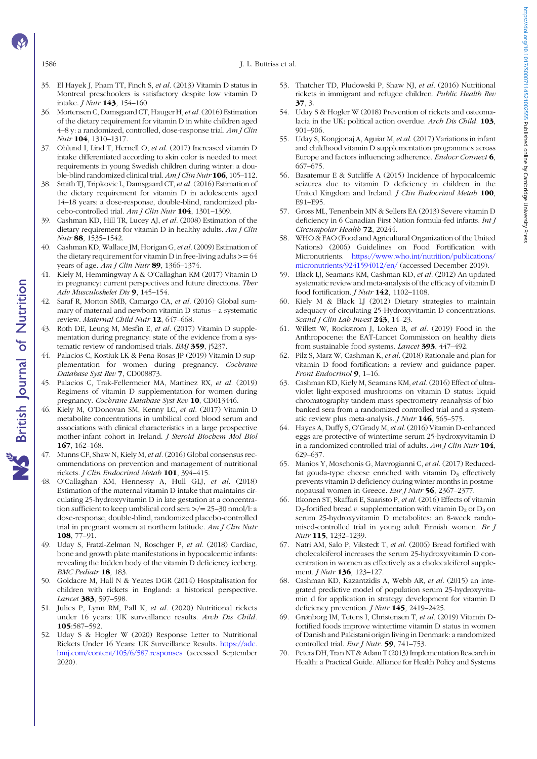<span id="page-19-0"></span>1586 J. L. Buttriss et al.

- 35. El Hayek J, Pham TT, Finch S, et al. (2013) Vitamin D status in Montreal preschoolers is satisfactory despite low vitamin D intake. J Nutr 143, 154–160.
- 36. Mortensen C, Damsgaard CT, Hauger H, et al.(2016) Estimation of the dietary requirement for vitamin D in white children aged 4–8 y: a randomized, controlled, dose-response trial. Am J Clin Nutr 104, 1310–1317.
- 37. Ohlund I, Lind T, Hernell O, et al. (2017) Increased vitamin D intake differentiated according to skin color is needed to meet requirements in young Swedish children during winter: a double-blind randomized clinical trial. Am J Clin Nutr 106, 105–112.
- 38. Smith TJ, Tripkovic L, Damsgaard CT, et al. (2016) Estimation of the dietary requirement for vitamin D in adolescents aged 14–18 years: a dose-response, double-blind, randomized placebo-controlled trial. Am J Clin Nutr 104, 1301-1309.
- 39. Cashman KD, Hill TR, Lucey AJ, et al. (2008) Estimation of the dietary requirement for vitamin D in healthy adults. Am J Clin Nutr 88, 1535–1542.
- Cashman KD, Wallace JM, Horigan G, et al. (2009) Estimation of the dietary requirement for vitamin D in free-living adults  $>= 64$ years of age. Am *J Clin Nutr* 89, 1366–1374.
- 41. Kiely M, Hemmingway A & O'Callaghan KM (2017) Vitamin D in pregnancy: current perspectives and future directions. Ther Adv Musculoskelet Dis 9, 145–154.
- 42. Saraf R, Morton SMB, Camargo CA, et al. (2016) Global summary of maternal and newborn vitamin D status – a systematic review. Maternal Child Nutr 12, 647-668.
- 43. Roth DE, Leung M, Mesfin E, et al. (2017) Vitamin D supplementation during pregnancy: state of the evidence from a systematic review of randomised trials. BMJ 359, j5237.
- 44. Palacios C, Kostiuk LK & Pena-Rosas JP (2019) Vitamin D supplementation for women during pregnancy. Cochrane Database Syst Rev 7, CD008873.
- 45. Palacios C, Trak-Fellermeier MA, Martinez RX, et al. (2019) Regimens of vitamin D supplementation for women during pregnancy. Cochrane Database Syst Rev 10, CD013446.
- 46. Kiely M, O'Donovan SM, Kenny LC, et al. (2017) Vitamin D metabolite concentrations in umbilical cord blood serum and associations with clinical characteristics in a large prospective mother-infant cohort in Ireland. J Steroid Biochem Mol Biol 167, 162–168.
- 47. Munns CF, Shaw N, Kiely M, et al. (2016) Global consensus recommendations on prevention and management of nutritional rickets. J Clin Endocrinol Metab 101, 394–415.
- 48. O'Callaghan KM, Hennessy A, Hull GLJ, et al. (2018) Estimation of the maternal vitamin D intake that maintains circulating 25-hydroxyvitamin D in late gestation at a concentration sufficient to keep umbilical cord sera >/= 25–30 nmol/l: a dose-response, double-blind, randomized placebo-controlled trial in pregnant women at northern latitude. Am J Clin Nutr 108, 77–91.
- 49. Uday S, Fratzl-Zelman N, Roschger P, et al. (2018) Cardiac, bone and growth plate manifestations in hypocalcemic infants: revealing the hidden body of the vitamin D deficiency iceberg. BMC Pediatr 18, 183.
- 50. Goldacre M, Hall N & Yeates DGR (2014) Hospitalisation for children with rickets in England: a historical perspective. Lancet 383, 597–598.
- 51. Julies P, Lynn RM, Pall K, et al. (2020) Nutritional rickets under 16 years: UK surveillance results. Arch Dis Child. 105:587–592.
- 52. Uday S & Hogler W (2020) Response Letter to Nutritional Rickets Under 16 Years: UK Surveillance Results. [https://adc.](https://adc.bmj.com/content/105/6/587.responses) [bmj.com/content/105/6/587.responses](https://adc.bmj.com/content/105/6/587.responses) (accessed September 2020).
- 53. Thatcher TD, Pludowski P, Shaw NJ, et al. (2016) Nutritional rickets in immigrant and refugee children. Public Health Rev 37, 3.
- 54. Uday S & Hogler W (2018) Prevention of rickets and osteomalacia in the UK: political action overdue. Arch Dis Child. 103, 901–906.
- 55. Uday S, Kongjonaj A, Aguiar M, et al. (2017) Variations in infant and childhood vitamin D supplementation programmes across Europe and factors influencing adherence. Endocr Connect 6, 667–675.
- 56. Basatemur E & Sutcliffe A (2015) Incidence of hypocalcemic seizures due to vitamin D deficiency in children in the United Kingdom and Ireland. J Clin Endocrinol Metab 100, E91–E95.
- 57. Gross ML, Tenenbein MN & Sellers EA (2013) Severe vitamin D deficiency in 6 Canadian First Nation formula-fed infants. Int J Circumpolar Health 72, 20244.
- 58. WHO & FAO (Food and Agricultural Organization of the United Nations) (2006) Guidelines on Food Fortification with Micronutrients. [https://www.who.int/nutrition/publications/](https://www.who.int/nutrition/publications/micronutrients/9241594012/en/) [micronutrients/9241594012/en/](https://www.who.int/nutrition/publications/micronutrients/9241594012/en/) (accessed December 2019).
- 59. Black LJ, Seamans KM, Cashman KD, et al. (2012) An updated systematic review and meta-analysis of the efficacy of vitamin D food fortification. J Nutr 142, 1102–1108.
- 60. Kiely M & Black LJ (2012) Dietary strategies to maintain adequacy of circulating 25-Hydroxyvitamin D concentrations. Scand I Clin Lab Invest 243, 14-23.
- 61. Willett W, Rockstrom J, Loken B, et al. (2019) Food in the Anthropocene: the EAT-Lancet Commission on healthy diets from sustainable food systems. Lancet 393, 447-492.
- 62. Pilz S, Marz W, Cashman K, et al. (2018) Rationale and plan for vitamin D food fortification: a review and guidance paper. Front Endocrinol 9, 1-16.
- 63. Cashman KD, Kiely M, Seamans KM, et al. (2016) Effect of ultraviolet light-exposed mushrooms on vitamin D status: liquid chromatography-tandem mass spectrometry reanalysis of biobanked sera from a randomized controlled trial and a systematic review plus meta-analysis.  $J$  Nutr  $146$ , 565–575.
- 64. Hayes A, Duffy S, O'Grady M, et al. (2016) Vitamin D-enhanced eggs are protective of wintertime serum 25-hydroxyvitamin D in a randomized controlled trial of adults. Am J Clin Nutr 104, 629–637.
- 65. Manios Y, Moschonis G, Mavrogianni C, et al. (2017) Reducedfat gouda-type cheese enriched with vitamin  $D_3$  effectively prevents vitamin D deficiency during winter months in postmenopausal women in Greece. Eur J Nutr 56, 2367–2377.
- 66. Itkonen ST, Skaffari E, Saaristo P, et al. (2016) Effects of vitamin  $D_2$ -fortified bread v. supplementation with vitamin  $D_2$  or  $D_3$  on serum 25-hydroxyvitamin D metabolites: an 8-week randomised-controlled trial in young adult Finnish women. Br J Nutr 115, 1232–1239.
- 67. Natri AM, Salo P, Vikstedt T, et al. (2006) Bread fortified with cholecalciferol increases the serum 25-hydroxyvitamin D concentration in women as effectively as a cholecalciferol supplement. *J Nutr* **136**, 123-127.
- 68. Cashman KD, Kazantzidis A, Webb AR, et al. (2015) an integrated predictive model of population serum 25-hydroxyvitamin d for application in strategy development for vitamin D deficiency prevention. *J Nutr* 145, 2419-2425.
- 69. Grønborg IM, Tetens I, Christensen T, et al. (2019) Vitamin Dfortified foods improve wintertime vitamin D status in women of Danish and Pakistani origin living in Denmark: a randomized controlled trial. Eur J Nutr. 59, 741-753.
- 70. Peters DH, Tran NT & Adam T (2013) Implementation Research in Health: a Practical Guide. Alliance for Health Policy and Systems

**NS** British Journal of Nutrition